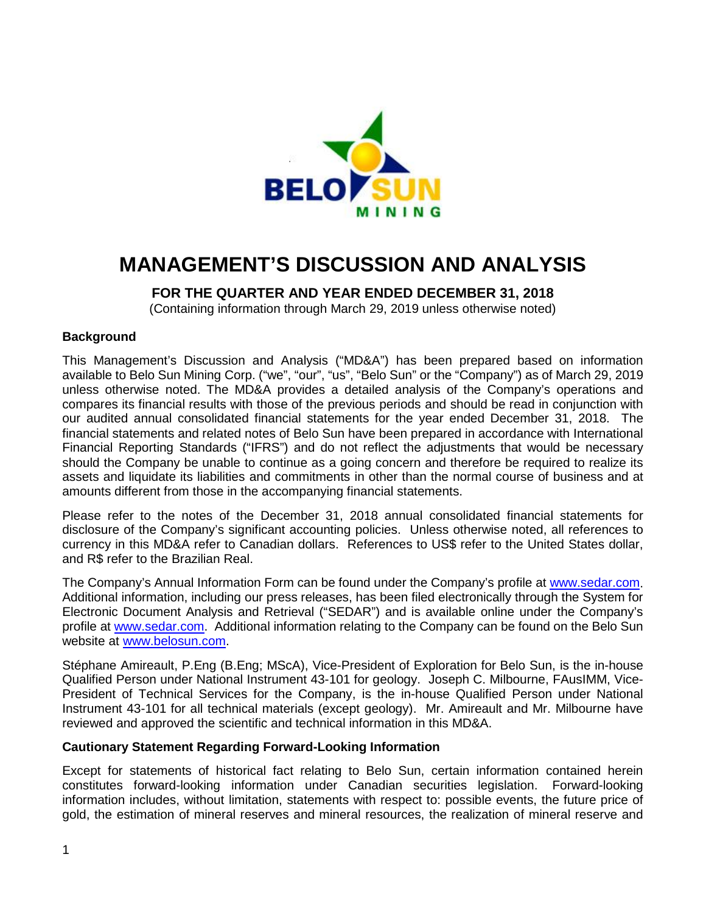

# **MANAGEMENT'S DISCUSSION AND ANALYSIS**

**FOR THE QUARTER AND YEAR ENDED DECEMBER 31, 2018**

(Containing information through March 29, 2019 unless otherwise noted)

## **Background**

This Management's Discussion and Analysis ("MD&A") has been prepared based on information available to Belo Sun Mining Corp. ("we", "our", "us", "Belo Sun" or the "Company") as of March 29, 2019 unless otherwise noted. The MD&A provides a detailed analysis of the Company's operations and compares its financial results with those of the previous periods and should be read in conjunction with our audited annual consolidated financial statements for the year ended December 31, 2018. The financial statements and related notes of Belo Sun have been prepared in accordance with International Financial Reporting Standards ("IFRS") and do not reflect the adjustments that would be necessary should the Company be unable to continue as a going concern and therefore be required to realize its assets and liquidate its liabilities and commitments in other than the normal course of business and at amounts different from those in the accompanying financial statements.

Please refer to the notes of the December 31, 2018 annual consolidated financial statements for disclosure of the Company's significant accounting policies. Unless otherwise noted, all references to currency in this MD&A refer to Canadian dollars. References to US\$ refer to the United States dollar, and R\$ refer to the Brazilian Real.

The Company's Annual Information Form can be found under the Company's profile at www.sedar.com. Additional information, including our press releases, has been filed electronically through the System for Electronic Document Analysis and Retrieval ("SEDAR") and is available online under the Company's profile at www.sedar.com. Additional information relating to the Company can be found on the Belo Sun website at www.belosun.com.

Stéphane Amireault, P.Eng (B.Eng; MScA), Vice-President of Exploration for Belo Sun, is the in-house Qualified Person under National Instrument 43-101 for geology. Joseph C. Milbourne, FAusIMM, Vice-President of Technical Services for the Company, is the in-house Qualified Person under National Instrument 43-101 for all technical materials (except geology). Mr. Amireault and Mr. Milbourne have reviewed and approved the scientific and technical information in this MD&A.

#### **Cautionary Statement Regarding Forward-Looking Information**

Except for statements of historical fact relating to Belo Sun, certain information contained herein constitutes forward-looking information under Canadian securities legislation. Forward-looking information includes, without limitation, statements with respect to: possible events, the future price of gold, the estimation of mineral reserves and mineral resources, the realization of mineral reserve and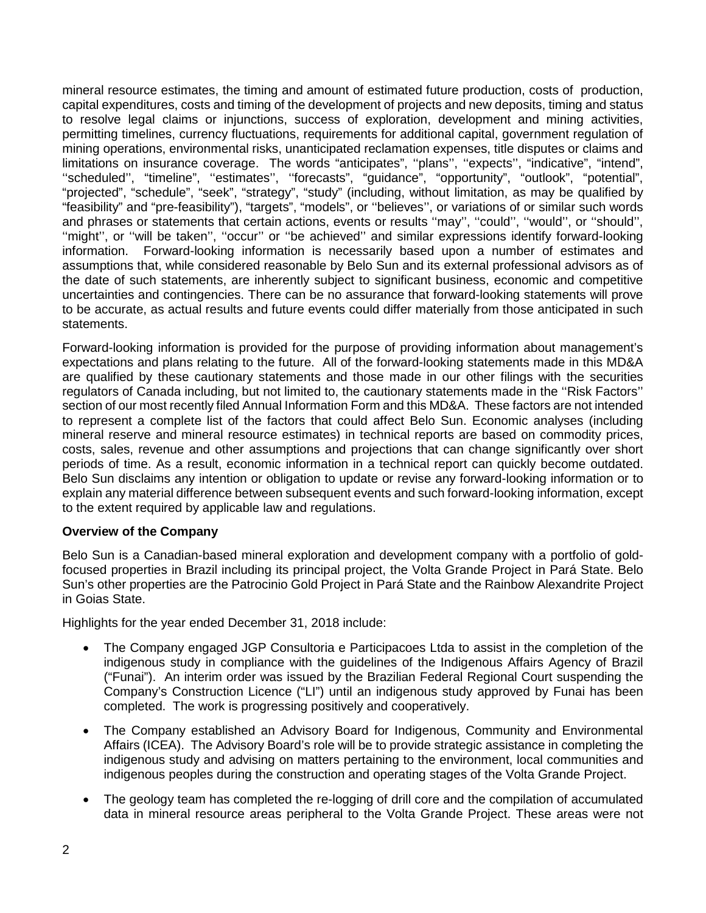mineral resource estimates, the timing and amount of estimated future production, costs of production, capital expenditures, costs and timing of the development of projects and new deposits, timing and status to resolve legal claims or injunctions, success of exploration, development and mining activities, permitting timelines, currency fluctuations, requirements for additional capital, government regulation of mining operations, environmental risks, unanticipated reclamation expenses, title disputes or claims and limitations on insurance coverage. The words "anticipates", ''plans'', ''expects'', "indicative", "intend", ''scheduled'', "timeline", ''estimates'', ''forecasts", "guidance", "opportunity", "outlook", "potential", "projected", "schedule", "seek", "strategy", "study" (including, without limitation, as may be qualified by "feasibility" and "pre-feasibility"), "targets", "models", or ''believes'', or variations of or similar such words and phrases or statements that certain actions, events or results ''may'', ''could'', ''would'', or ''should'', "might", or "will be taken", "occur" or "be achieved" and similar expressions identify forward-looking information. Forward-looking information is necessarily based upon a number of estimates and assumptions that, while considered reasonable by Belo Sun and its external professional advisors as of the date of such statements, are inherently subject to significant business, economic and competitive uncertainties and contingencies. There can be no assurance that forward-looking statements will prove to be accurate, as actual results and future events could differ materially from those anticipated in such statements.

Forward-looking information is provided for the purpose of providing information about management's expectations and plans relating to the future. All of the forward-looking statements made in this MD&A are qualified by these cautionary statements and those made in our other filings with the securities regulators of Canada including, but not limited to, the cautionary statements made in the ''Risk Factors'' section of our most recently filed Annual Information Form and this MD&A. These factors are not intended to represent a complete list of the factors that could affect Belo Sun. Economic analyses (including mineral reserve and mineral resource estimates) in technical reports are based on commodity prices, costs, sales, revenue and other assumptions and projections that can change significantly over short periods of time. As a result, economic information in a technical report can quickly become outdated. Belo Sun disclaims any intention or obligation to update or revise any forward-looking information or to explain any material difference between subsequent events and such forward-looking information, except to the extent required by applicable law and regulations.

# **Overview of the Company**

Belo Sun is a Canadian-based mineral exploration and development company with a portfolio of goldfocused properties in Brazil including its principal project, the Volta Grande Project in Pará State. Belo Sun's other properties are the Patrocinio Gold Project in Pará State and the Rainbow Alexandrite Project in Goias State.

Highlights for the year ended December 31, 2018 include:

- The Company engaged JGP Consultoria e Participacoes Ltda to assist in the completion of the indigenous study in compliance with the guidelines of the Indigenous Affairs Agency of Brazil ("Funai"). An interim order was issued by the Brazilian Federal Regional Court suspending the Company's Construction Licence ("LI") until an indigenous study approved by Funai has been completed. The work is progressing positively and cooperatively.
- The Company established an Advisory Board for Indigenous, Community and Environmental Affairs (ICEA). The Advisory Board's role will be to provide strategic assistance in completing the indigenous study and advising on matters pertaining to the environment, local communities and indigenous peoples during the construction and operating stages of the Volta Grande Project.
- The geology team has completed the re-logging of drill core and the compilation of accumulated data in mineral resource areas peripheral to the Volta Grande Project. These areas were not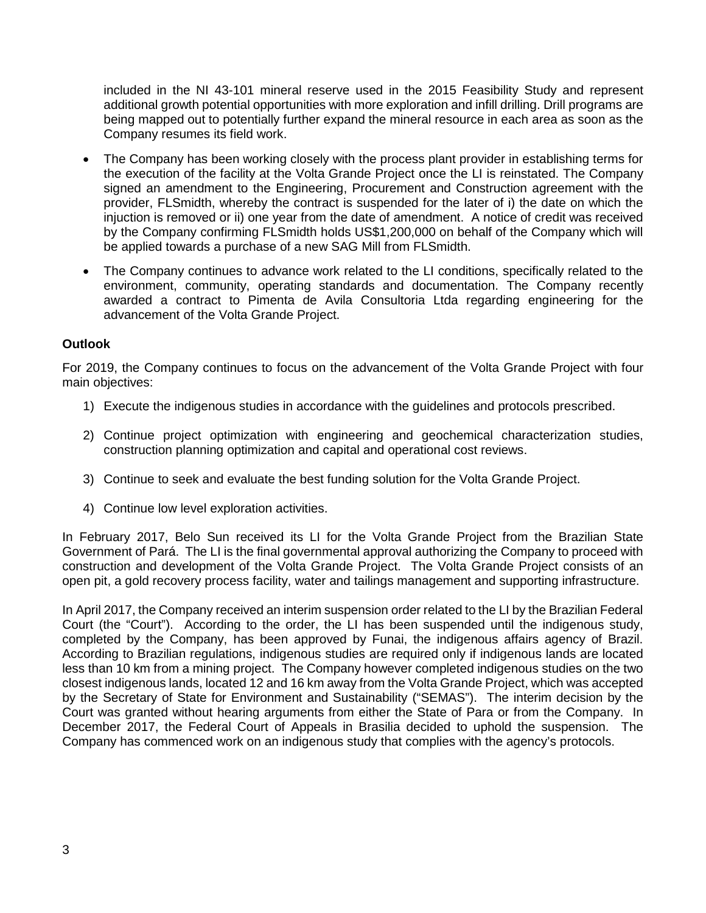included in the NI 43-101 mineral reserve used in the 2015 Feasibility Study and represent additional growth potential opportunities with more exploration and infill drilling. Drill programs are being mapped out to potentially further expand the mineral resource in each area as soon as the Company resumes its field work.

- The Company has been working closely with the process plant provider in establishing terms for the execution of the facility at the Volta Grande Project once the LI is reinstated. The Company signed an amendment to the Engineering, Procurement and Construction agreement with the provider, FLSmidth, whereby the contract is suspended for the later of i) the date on which the injuction is removed or ii) one year from the date of amendment. A notice of credit was received by the Company confirming FLSmidth holds US\$1,200,000 on behalf of the Company which will be applied towards a purchase of a new SAG Mill from FLSmidth.
- The Company continues to advance work related to the LI conditions, specifically related to the environment, community, operating standards and documentation. The Company recently awarded a contract to Pimenta de Avila Consultoria Ltda regarding engineering for the advancement of the Volta Grande Project.

# **Outlook**

For 2019, the Company continues to focus on the advancement of the Volta Grande Project with four main objectives:

- 1) Execute the indigenous studies in accordance with the guidelines and protocols prescribed.
- 2) Continue project optimization with engineering and geochemical characterization studies, construction planning optimization and capital and operational cost reviews.
- 3) Continue to seek and evaluate the best funding solution for the Volta Grande Project.
- 4) Continue low level exploration activities.

In February 2017, Belo Sun received its LI for the Volta Grande Project from the Brazilian State Government of Pará. The LI is the final governmental approval authorizing the Company to proceed with construction and development of the Volta Grande Project. The Volta Grande Project consists of an open pit, a gold recovery process facility, water and tailings management and supporting infrastructure.

In April 2017, the Company received an interim suspension order related to the LI by the Brazilian Federal Court (the "Court"). According to the order, the LI has been suspended until the indigenous study, completed by the Company, has been approved by Funai, the indigenous affairs agency of Brazil. According to Brazilian regulations, indigenous studies are required only if indigenous lands are located less than 10 km from a mining project. The Company however completed indigenous studies on the two closest indigenous lands, located 12 and 16 km away from the Volta Grande Project, which was accepted by the Secretary of State for Environment and Sustainability ("SEMAS"). The interim decision by the Court was granted without hearing arguments from either the State of Para or from the Company. In December 2017, the Federal Court of Appeals in Brasilia decided to uphold the suspension. The Company has commenced work on an indigenous study that complies with the agency's protocols.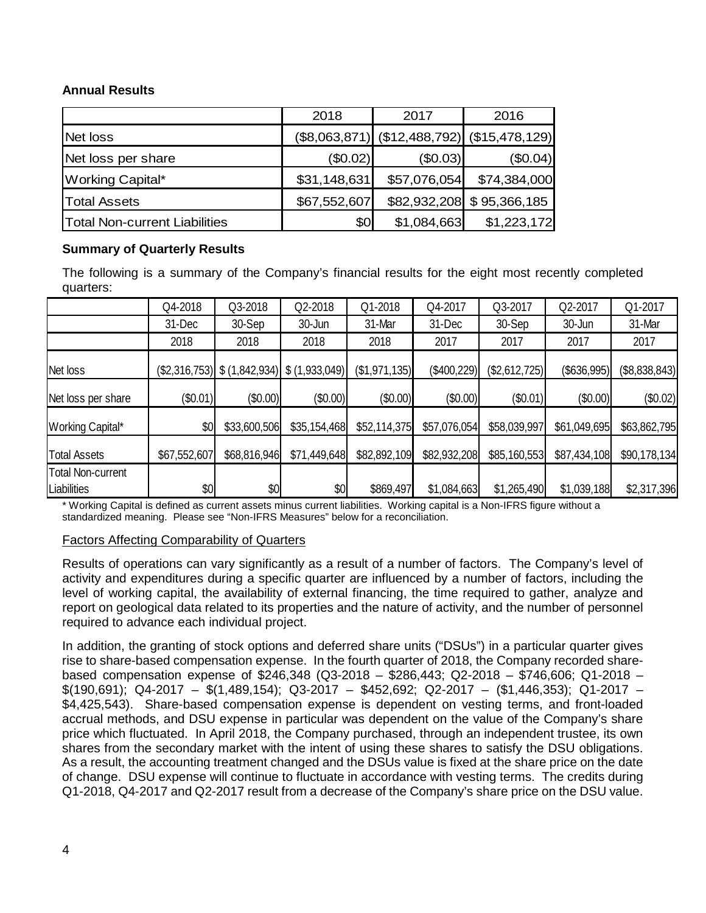# **Annual Results**

|                               | 2018         | 2017         | 2016                                          |  |  |
|-------------------------------|--------------|--------------|-----------------------------------------------|--|--|
| Net loss                      |              |              | $(\$8,063,871)$ (\$12,488,792) (\$15,478,129) |  |  |
| Net loss per share            | (\$0.02)     | (\$0.03)     | (\$0.04)                                      |  |  |
| <b>Working Capital*</b>       | \$31,148,631 | \$57,076,054 | \$74,384,000                                  |  |  |
| <b>Total Assets</b>           | \$67,552,607 |              | \$82,932,208 \$95,366,185                     |  |  |
| Total Non-current Liabilities | \$0          | \$1,084,663  | \$1,223,172                                   |  |  |

# **Summary of Quarterly Results**

The following is a summary of the Company's financial results for the eight most recently completed quarters:

|                                         | Q4-2018      | Q3-2018                                                  | Q2-2018      | Q1-2018       | Q4-2017      | Q3-2017       | Q2-2017      | Q1-2017       |
|-----------------------------------------|--------------|----------------------------------------------------------|--------------|---------------|--------------|---------------|--------------|---------------|
|                                         | 31-Dec       | 30-Sep                                                   | 30-Jun       | 31-Mar        | 31-Dec       | 30-Sep        | 30-Jun       | 31-Mar        |
|                                         | 2018         | 2018                                                     | 2018         | 2018          | 2017         | 2017          | 2017         | 2017          |
| Net loss                                |              | $(\$2,316,753)$ \, $(\{1,842,934\}$ \, $(\{1,933,049\})$ |              | (\$1,971,135) | (\$400,229)  | (\$2,612,725) | (\$636,995)  | (\$8,838,843) |
| Net loss per share                      | (\$0.01)     | (\$0.00)                                                 | (\$0.00)     | (\$0.00)      | (\$0.00)     | $(\$0.01)$    | (\$0.00)     | (\$0.02)      |
| Working Capital*                        | \$0          | \$33,600,506                                             | \$35,154,468 | \$52,114,375  | \$57,076,054 | \$58,039,997  | \$61,049,695 | \$63,862,795  |
| <b>Total Assets</b>                     | \$67,552,607 | \$68,816,946                                             | \$71,449,648 | \$82,892,109  | \$82,932,208 | \$85,160,553  | \$87,434,108 | \$90,178,134  |
| <b>Total Non-current</b><br>Liabilities | \$0          | \$0                                                      | \$0          | \$869,497     | \$1,084,663  | \$1,265,490   | \$1,039,188  | \$2,317,396   |

\* Working Capital is defined as current assets minus current liabilities. Working capital is a Non-IFRS figure without a standardized meaning. Please see "Non-IFRS Measures" below for a reconciliation.

# Factors Affecting Comparability of Quarters

Results of operations can vary significantly as a result of a number of factors. The Company's level of activity and expenditures during a specific quarter are influenced by a number of factors, including the level of working capital, the availability of external financing, the time required to gather, analyze and report on geological data related to its properties and the nature of activity, and the number of personnel required to advance each individual project.

In addition, the granting of stock options and deferred share units ("DSUs") in a particular quarter gives rise to share-based compensation expense. In the fourth quarter of 2018, the Company recorded sharebased compensation expense of \$246,348 (Q3-2018 – \$286,443; Q2-2018 – \$746,606; Q1-2018 –  $$(190,691);$  Q4-2017 -  $$(1,489,154);$  Q3-2017 -  $$452,692;$  Q2-2017 -  $$(1,446,353);$  Q1-2017 -\$4,425,543). Share-based compensation expense is dependent on vesting terms, and front-loaded accrual methods, and DSU expense in particular was dependent on the value of the Company's share price which fluctuated. In April 2018, the Company purchased, through an independent trustee, its own shares from the secondary market with the intent of using these shares to satisfy the DSU obligations. As a result, the accounting treatment changed and the DSUs value is fixed at the share price on the date of change. DSU expense will continue to fluctuate in accordance with vesting terms. The credits during Q1-2018, Q4-2017 and Q2-2017 result from a decrease of the Company's share price on the DSU value.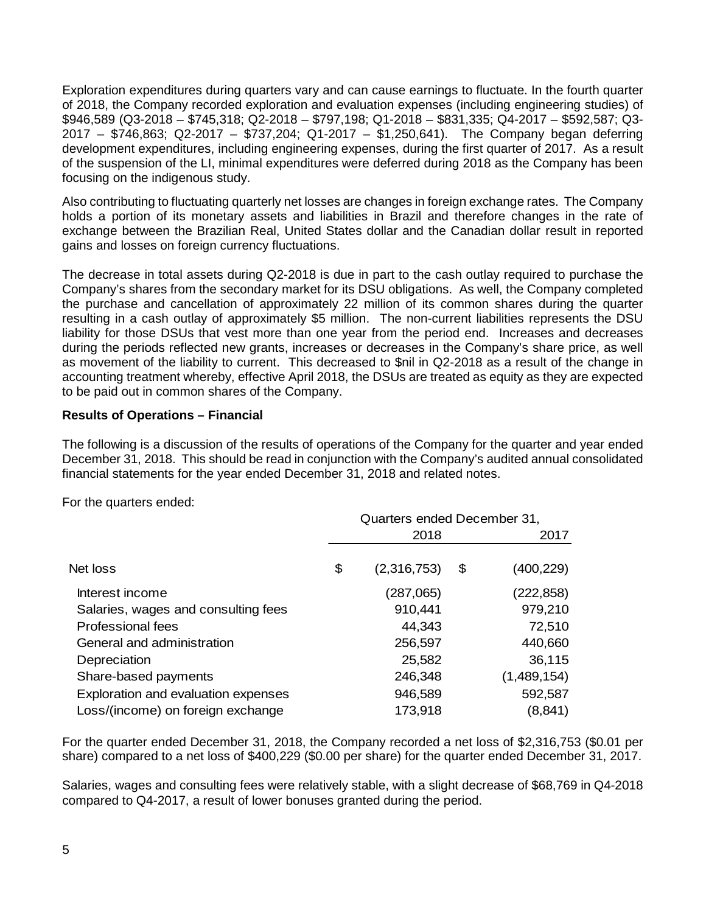Exploration expenditures during quarters vary and can cause earnings to fluctuate. In the fourth quarter of 2018, the Company recorded exploration and evaluation expenses (including engineering studies) of \$946,589 (Q3-2018 – \$745,318; Q2-2018 – \$797,198; Q1-2018 – \$831,335; Q4-2017 – \$592,587; Q3- 2017 – \$746,863; Q2-2017 – \$737,204; Q1-2017 – \$1,250,641). The Company began deferring development expenditures, including engineering expenses, during the first quarter of 2017. As a result of the suspension of the LI, minimal expenditures were deferred during 2018 as the Company has been focusing on the indigenous study.

Also contributing to fluctuating quarterly net losses are changes in foreign exchange rates. The Company holds a portion of its monetary assets and liabilities in Brazil and therefore changes in the rate of exchange between the Brazilian Real, United States dollar and the Canadian dollar result in reported gains and losses on foreign currency fluctuations.

The decrease in total assets during Q2-2018 is due in part to the cash outlay required to purchase the Company's shares from the secondary market for its DSU obligations. As well, the Company completed the purchase and cancellation of approximately 22 million of its common shares during the quarter resulting in a cash outlay of approximately \$5 million. The non-current liabilities represents the DSU liability for those DSUs that vest more than one year from the period end. Increases and decreases during the periods reflected new grants, increases or decreases in the Company's share price, as well as movement of the liability to current. This decreased to \$nil in Q2-2018 as a result of the change in accounting treatment whereby, effective April 2018, the DSUs are treated as equity as they are expected to be paid out in common shares of the Company.

# **Results of Operations – Financial**

The following is a discussion of the results of operations of the Company for the quarter and year ended December 31, 2018. This should be read in conjunction with the Company's audited annual consolidated financial statements for the year ended December 31, 2018 and related notes.

For the quarters ended:

|                                     | Quarters ended December 31, |             |    |             |  |  |
|-------------------------------------|-----------------------------|-------------|----|-------------|--|--|
|                                     |                             | 2018        |    | 2017        |  |  |
| Net loss                            | \$                          | (2,316,753) | \$ | (400,229)   |  |  |
| Interest income                     |                             | (287,065)   |    | (222,858)   |  |  |
| Salaries, wages and consulting fees |                             | 910,441     |    | 979,210     |  |  |
| <b>Professional fees</b>            |                             | 44,343      |    | 72,510      |  |  |
| General and administration          |                             | 256,597     |    | 440,660     |  |  |
| Depreciation                        |                             | 25,582      |    | 36,115      |  |  |
| Share-based payments                |                             | 246,348     |    | (1,489,154) |  |  |
| Exploration and evaluation expenses |                             | 946,589     |    | 592,587     |  |  |
| Loss/(income) on foreign exchange   |                             | 173,918     |    | (8, 841)    |  |  |

For the quarter ended December 31, 2018, the Company recorded a net loss of \$2,316,753 (\$0.01 per share) compared to a net loss of \$400,229 (\$0.00 per share) for the quarter ended December 31, 2017.

Salaries, wages and consulting fees were relatively stable, with a slight decrease of \$68,769 in Q4-2018 compared to Q4-2017, a result of lower bonuses granted during the period.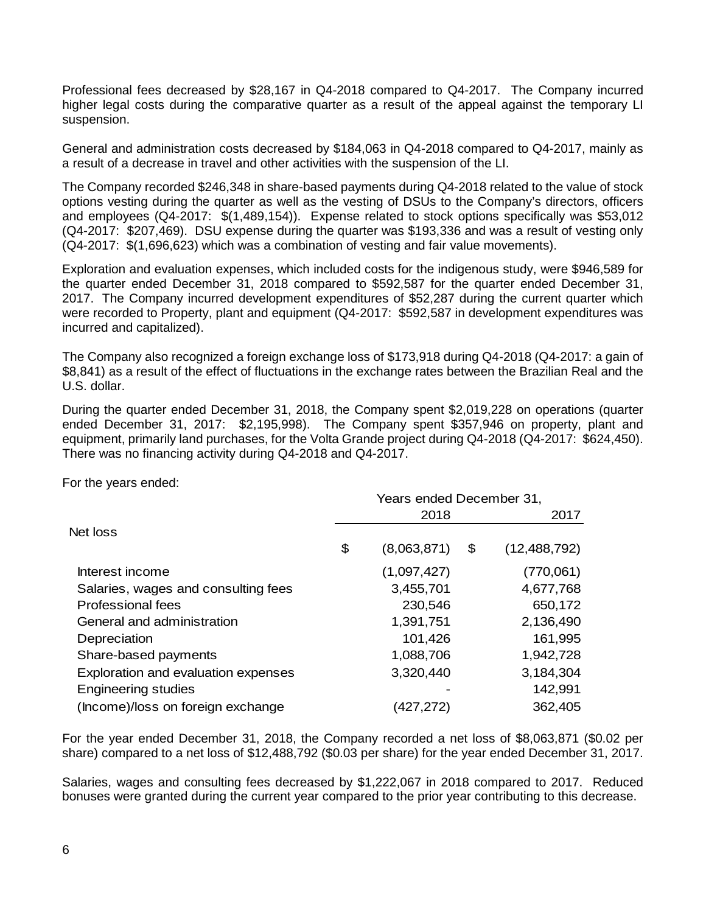Professional fees decreased by \$28,167 in Q4-2018 compared to Q4-2017. The Company incurred higher legal costs during the comparative quarter as a result of the appeal against the temporary LI suspension.

General and administration costs decreased by \$184,063 in Q4-2018 compared to Q4-2017, mainly as a result of a decrease in travel and other activities with the suspension of the LI.

The Company recorded \$246,348 in share-based payments during Q4-2018 related to the value of stock options vesting during the quarter as well as the vesting of DSUs to the Company's directors, officers and employees (Q4-2017: \$(1,489,154)). Expense related to stock options specifically was \$53,012 (Q4-2017: \$207,469). DSU expense during the quarter was \$193,336 and was a result of vesting only (Q4-2017: \$(1,696,623) which was a combination of vesting and fair value movements).

Exploration and evaluation expenses, which included costs for the indigenous study, were \$946,589 for the quarter ended December 31, 2018 compared to \$592,587 for the quarter ended December 31, 2017. The Company incurred development expenditures of \$52,287 during the current quarter which were recorded to Property, plant and equipment (Q4-2017: \$592,587 in development expenditures was incurred and capitalized).

The Company also recognized a foreign exchange loss of \$173,918 during Q4-2018 (Q4-2017: a gain of \$8,841) as a result of the effect of fluctuations in the exchange rates between the Brazilian Real and the U.S. dollar.

During the quarter ended December 31, 2018, the Company spent \$2,019,228 on operations (quarter ended December 31, 2017: \$2,195,998). The Company spent \$357,946 on property, plant and equipment, primarily land purchases, for the Volta Grande project during Q4-2018 (Q4-2017: \$624,450). There was no financing activity during Q4-2018 and Q4-2017.

For the years ended:

|                                     | Years ended December 31, |             |    |                |  |  |
|-------------------------------------|--------------------------|-------------|----|----------------|--|--|
|                                     |                          | 2018        |    | 2017           |  |  |
| Net loss                            |                          |             |    |                |  |  |
|                                     | \$                       | (8,063,871) | \$ | (12, 488, 792) |  |  |
| Interest income                     |                          | (1,097,427) |    | (770,061)      |  |  |
| Salaries, wages and consulting fees |                          | 3,455,701   |    | 4,677,768      |  |  |
| <b>Professional fees</b>            |                          | 230,546     |    | 650,172        |  |  |
| General and administration          |                          | 1,391,751   |    | 2,136,490      |  |  |
| Depreciation                        |                          | 101,426     |    | 161,995        |  |  |
| Share-based payments                |                          | 1,088,706   |    | 1,942,728      |  |  |
| Exploration and evaluation expenses |                          | 3,320,440   |    | 3,184,304      |  |  |
| <b>Engineering studies</b>          |                          |             |    | 142,991        |  |  |
| (Income)/loss on foreign exchange   |                          | (427,272)   |    | 362,405        |  |  |

For the year ended December 31, 2018, the Company recorded a net loss of \$8,063,871 (\$0.02 per share) compared to a net loss of \$12,488,792 (\$0.03 per share) for the year ended December 31, 2017.

Salaries, wages and consulting fees decreased by \$1,222,067 in 2018 compared to 2017. Reduced bonuses were granted during the current year compared to the prior year contributing to this decrease.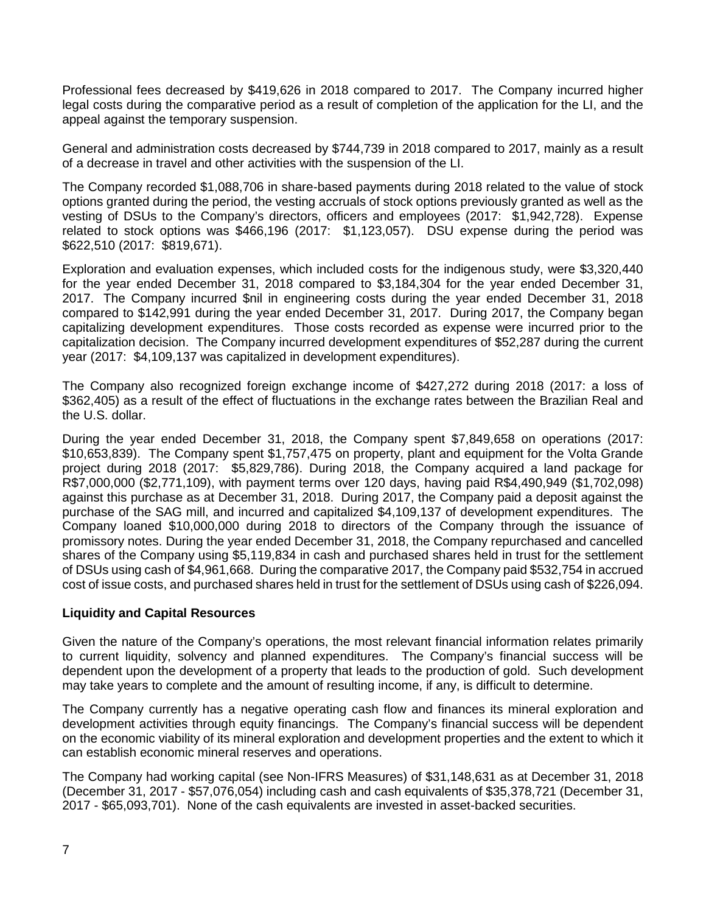Professional fees decreased by \$419,626 in 2018 compared to 2017. The Company incurred higher legal costs during the comparative period as a result of completion of the application for the LI, and the appeal against the temporary suspension.

General and administration costs decreased by \$744,739 in 2018 compared to 2017, mainly as a result of a decrease in travel and other activities with the suspension of the LI.

The Company recorded \$1,088,706 in share-based payments during 2018 related to the value of stock options granted during the period, the vesting accruals of stock options previously granted as well as the vesting of DSUs to the Company's directors, officers and employees (2017: \$1,942,728). Expense related to stock options was \$466,196 (2017: \$1,123,057). DSU expense during the period was \$622,510 (2017: \$819,671).

Exploration and evaluation expenses, which included costs for the indigenous study, were \$3,320,440 for the year ended December 31, 2018 compared to \$3,184,304 for the year ended December 31, 2017. The Company incurred \$nil in engineering costs during the year ended December 31, 2018 compared to \$142,991 during the year ended December 31, 2017. During 2017, the Company began capitalizing development expenditures. Those costs recorded as expense were incurred prior to the capitalization decision. The Company incurred development expenditures of \$52,287 during the current year (2017: \$4,109,137 was capitalized in development expenditures).

The Company also recognized foreign exchange income of \$427,272 during 2018 (2017: a loss of \$362,405) as a result of the effect of fluctuations in the exchange rates between the Brazilian Real and the U.S. dollar.

During the year ended December 31, 2018, the Company spent \$7,849,658 on operations (2017: \$10,653,839). The Company spent \$1,757,475 on property, plant and equipment for the Volta Grande project during 2018 (2017: \$5,829,786). During 2018, the Company acquired a land package for R\$7,000,000 (\$2,771,109), with payment terms over 120 days, having paid R\$4,490,949 (\$1,702,098) against this purchase as at December 31, 2018. During 2017, the Company paid a deposit against the purchase of the SAG mill, and incurred and capitalized \$4,109,137 of development expenditures. The Company loaned \$10,000,000 during 2018 to directors of the Company through the issuance of promissory notes. During the year ended December 31, 2018, the Company repurchased and cancelled shares of the Company using \$5,119,834 in cash and purchased shares held in trust for the settlement of DSUs using cash of \$4,961,668. During the comparative 2017, the Company paid \$532,754 in accrued cost of issue costs, and purchased shares held in trust for the settlement of DSUs using cash of \$226,094.

# **Liquidity and Capital Resources**

Given the nature of the Company's operations, the most relevant financial information relates primarily to current liquidity, solvency and planned expenditures. The Company's financial success will be dependent upon the development of a property that leads to the production of gold. Such development may take years to complete and the amount of resulting income, if any, is difficult to determine.

The Company currently has a negative operating cash flow and finances its mineral exploration and development activities through equity financings. The Company's financial success will be dependent on the economic viability of its mineral exploration and development properties and the extent to which it can establish economic mineral reserves and operations.

The Company had working capital (see Non-IFRS Measures) of \$31,148,631 as at December 31, 2018 (December 31, 2017 - \$57,076,054) including cash and cash equivalents of \$35,378,721 (December 31, 2017 - \$65,093,701). None of the cash equivalents are invested in asset-backed securities.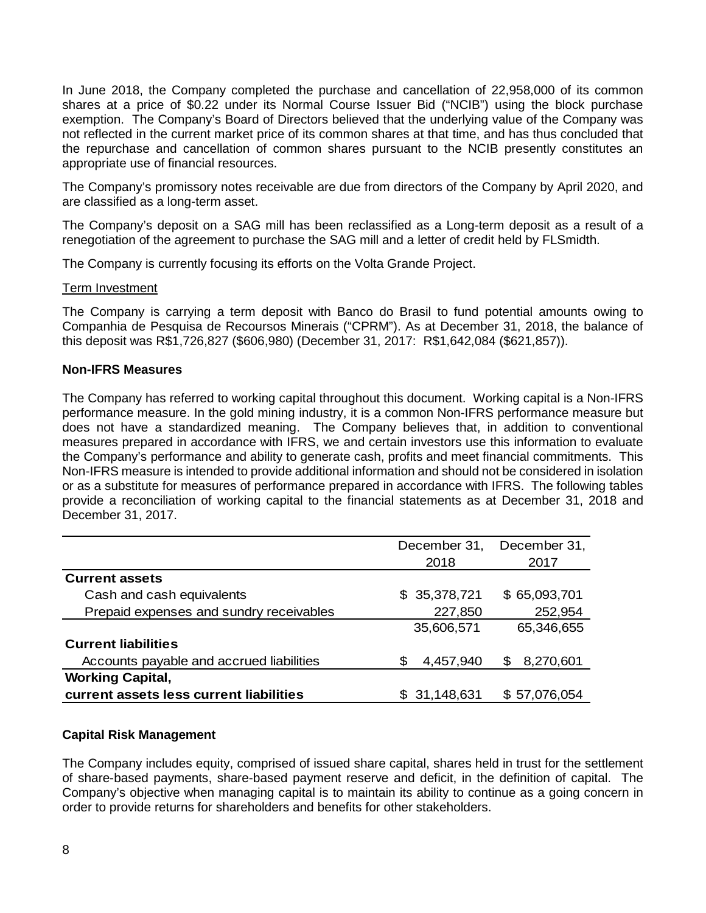In June 2018, the Company completed the purchase and cancellation of 22,958,000 of its common shares at a price of \$0.22 under its Normal Course Issuer Bid ("NCIB") using the block purchase exemption. The Company's Board of Directors believed that the underlying value of the Company was not reflected in the current market price of its common shares at that time, and has thus concluded that the repurchase and cancellation of common shares pursuant to the NCIB presently constitutes an appropriate use of financial resources.

The Company's promissory notes receivable are due from directors of the Company by April 2020, and are classified as a long-term asset.

The Company's deposit on a SAG mill has been reclassified as a Long-term deposit as a result of a renegotiation of the agreement to purchase the SAG mill and a letter of credit held by FLSmidth.

The Company is currently focusing its efforts on the Volta Grande Project.

#### Term Investment

The Company is carrying a term deposit with Banco do Brasil to fund potential amounts owing to Companhia de Pesquisa de Recoursos Minerais ("CPRM"). As at December 31, 2018, the balance of this deposit was R\$1,726,827 (\$606,980) (December 31, 2017: R\$1,642,084 (\$621,857)).

#### **Non-IFRS Measures**

The Company has referred to working capital throughout this document. Working capital is a Non-IFRS performance measure. In the gold mining industry, it is a common Non-IFRS performance measure but does not have a standardized meaning. The Company believes that, in addition to conventional measures prepared in accordance with IFRS, we and certain investors use this information to evaluate the Company's performance and ability to generate cash, profits and meet financial commitments. This Non-IFRS measure is intended to provide additional information and should not be considered in isolation or as a substitute for measures of performance prepared in accordance with IFRS. The following tables provide a reconciliation of working capital to the financial statements as at December 31, 2018 and December 31, 2017.

|                                          | December 31,<br>December 31, |                |
|------------------------------------------|------------------------------|----------------|
|                                          | 2018                         | 2017           |
| <b>Current assets</b>                    |                              |                |
| Cash and cash equivalents                | \$35,378,721                 | \$65,093,701   |
| Prepaid expenses and sundry receivables  | 227,850                      | 252,954        |
|                                          | 35,606,571                   | 65,346,655     |
| <b>Current liabilities</b>               |                              |                |
| Accounts payable and accrued liabilities | 4,457,940<br>S               | 8,270,601<br>S |
| <b>Working Capital,</b>                  |                              |                |
| current assets less current liabilities  | \$31,148,631                 | \$57,076,054   |

#### **Capital Risk Management**

The Company includes equity, comprised of issued share capital, shares held in trust for the settlement of share-based payments, share-based payment reserve and deficit, in the definition of capital. The Company's objective when managing capital is to maintain its ability to continue as a going concern in order to provide returns for shareholders and benefits for other stakeholders.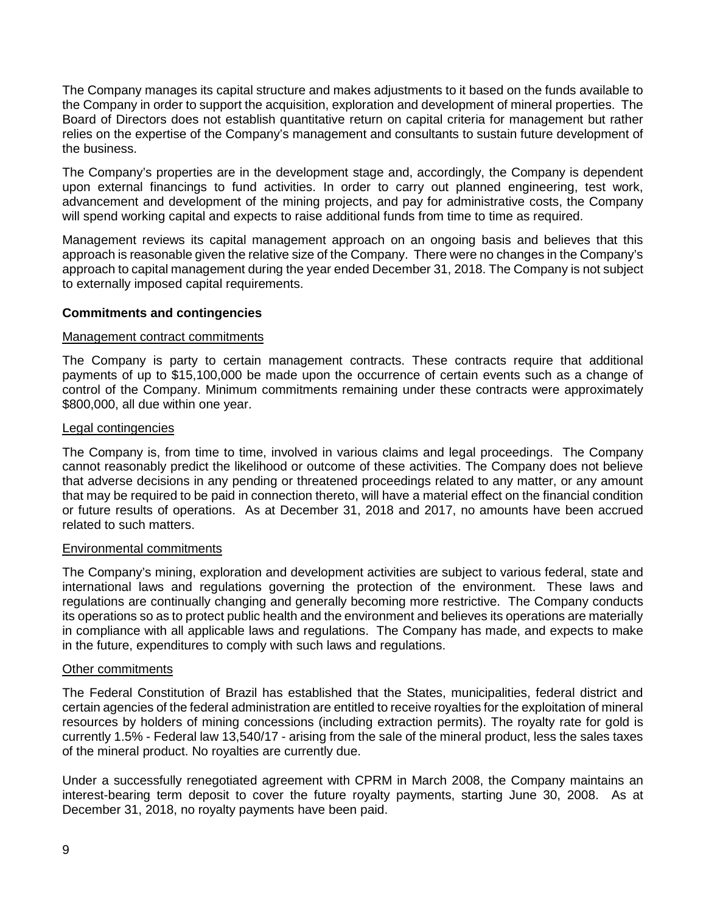The Company manages its capital structure and makes adjustments to it based on the funds available to the Company in order to support the acquisition, exploration and development of mineral properties. The Board of Directors does not establish quantitative return on capital criteria for management but rather relies on the expertise of the Company's management and consultants to sustain future development of the business.

The Company's properties are in the development stage and, accordingly, the Company is dependent upon external financings to fund activities. In order to carry out planned engineering, test work, advancement and development of the mining projects, and pay for administrative costs, the Company will spend working capital and expects to raise additional funds from time to time as required.

Management reviews its capital management approach on an ongoing basis and believes that this approach is reasonable given the relative size of the Company. There were no changes in the Company's approach to capital management during the year ended December 31, 2018. The Company is not subject to externally imposed capital requirements.

## **Commitments and contingencies**

#### Management contract commitments

The Company is party to certain management contracts. These contracts require that additional payments of up to \$15,100,000 be made upon the occurrence of certain events such as a change of control of the Company. Minimum commitments remaining under these contracts were approximately \$800,000, all due within one year.

#### Legal contingencies

The Company is, from time to time, involved in various claims and legal proceedings. The Company cannot reasonably predict the likelihood or outcome of these activities. The Company does not believe that adverse decisions in any pending or threatened proceedings related to any matter, or any amount that may be required to be paid in connection thereto, will have a material effect on the financial condition or future results of operations. As at December 31, 2018 and 2017, no amounts have been accrued related to such matters.

#### Environmental commitments

The Company's mining, exploration and development activities are subject to various federal, state and international laws and regulations governing the protection of the environment. These laws and regulations are continually changing and generally becoming more restrictive. The Company conducts its operations so as to protect public health and the environment and believes its operations are materially in compliance with all applicable laws and regulations. The Company has made, and expects to make in the future, expenditures to comply with such laws and regulations.

#### Other commitments

The Federal Constitution of Brazil has established that the States, municipalities, federal district and certain agencies of the federal administration are entitled to receive royalties for the exploitation of mineral resources by holders of mining concessions (including extraction permits). The royalty rate for gold is currently 1.5% - Federal law 13,540/17 - arising from the sale of the mineral product, less the sales taxes of the mineral product. No royalties are currently due.

Under a successfully renegotiated agreement with CPRM in March 2008, the Company maintains an interest-bearing term deposit to cover the future royalty payments, starting June 30, 2008. As at December 31, 2018, no royalty payments have been paid.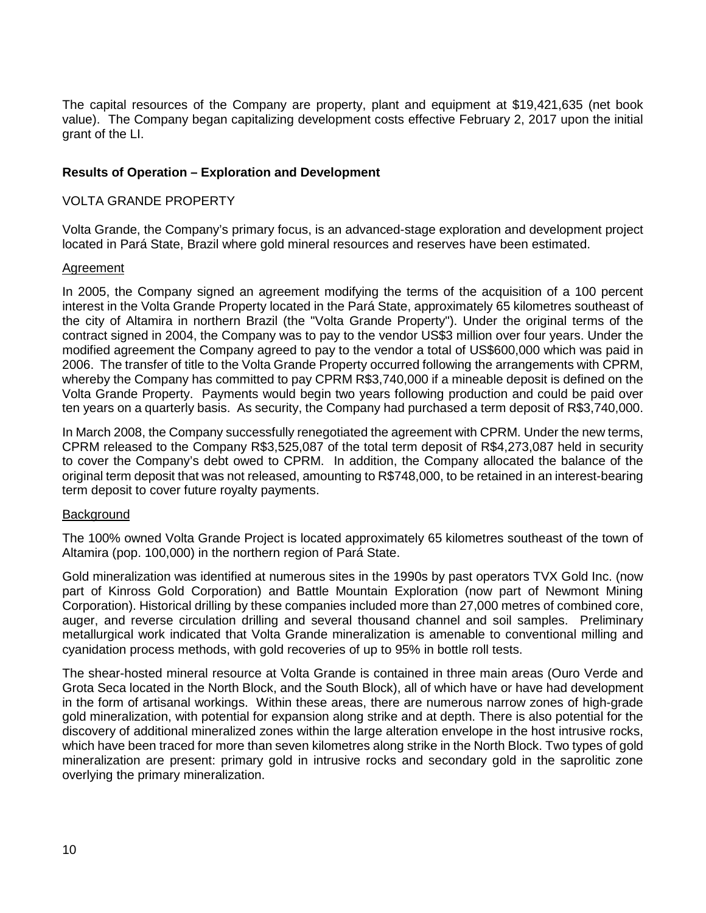The capital resources of the Company are property, plant and equipment at \$19,421,635 (net book value). The Company began capitalizing development costs effective February 2, 2017 upon the initial grant of the LI.

# **Results of Operation – Exploration and Development**

#### VOLTA GRANDE PROPERTY

Volta Grande, the Company's primary focus, is an advanced-stage exploration and development project located in Pará State, Brazil where gold mineral resources and reserves have been estimated.

#### Agreement

In 2005, the Company signed an agreement modifying the terms of the acquisition of a 100 percent interest in the Volta Grande Property located in the Pará State, approximately 65 kilometres southeast of the city of Altamira in northern Brazil (the "Volta Grande Property"). Under the original terms of the contract signed in 2004, the Company was to pay to the vendor US\$3 million over four years. Under the modified agreement the Company agreed to pay to the vendor a total of US\$600,000 which was paid in 2006. The transfer of title to the Volta Grande Property occurred following the arrangements with CPRM, whereby the Company has committed to pay CPRM R\$3,740,000 if a mineable deposit is defined on the Volta Grande Property. Payments would begin two years following production and could be paid over ten years on a quarterly basis. As security, the Company had purchased a term deposit of R\$3,740,000.

In March 2008, the Company successfully renegotiated the agreement with CPRM. Under the new terms, CPRM released to the Company R\$3,525,087 of the total term deposit of R\$4,273,087 held in security to cover the Company's debt owed to CPRM. In addition, the Company allocated the balance of the original term deposit that was not released, amounting to R\$748,000, to be retained in an interest-bearing term deposit to cover future royalty payments.

#### **Background**

The 100% owned Volta Grande Project is located approximately 65 kilometres southeast of the town of Altamira (pop. 100,000) in the northern region of Pará State.

Gold mineralization was identified at numerous sites in the 1990s by past operators TVX Gold Inc. (now part of Kinross Gold Corporation) and Battle Mountain Exploration (now part of Newmont Mining Corporation). Historical drilling by these companies included more than 27,000 metres of combined core, auger, and reverse circulation drilling and several thousand channel and soil samples. Preliminary metallurgical work indicated that Volta Grande mineralization is amenable to conventional milling and cyanidation process methods, with gold recoveries of up to 95% in bottle roll tests.

The shear-hosted mineral resource at Volta Grande is contained in three main areas (Ouro Verde and Grota Seca located in the North Block, and the South Block), all of which have or have had development in the form of artisanal workings. Within these areas, there are numerous narrow zones of high-grade gold mineralization, with potential for expansion along strike and at depth. There is also potential for the discovery of additional mineralized zones within the large alteration envelope in the host intrusive rocks, which have been traced for more than seven kilometres along strike in the North Block. Two types of gold mineralization are present: primary gold in intrusive rocks and secondary gold in the saprolitic zone overlying the primary mineralization.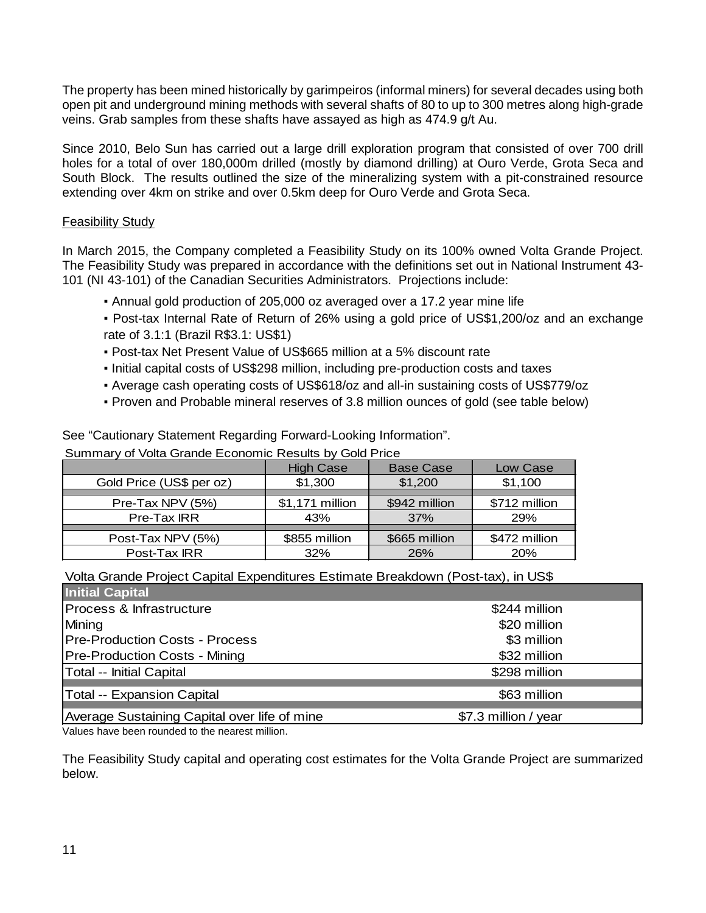The property has been mined historically by garimpeiros (informal miners) for several decades using both open pit and underground mining methods with several shafts of 80 to up to 300 metres along high-grade veins. Grab samples from these shafts have assayed as high as 474.9 g/t Au.

Since 2010, Belo Sun has carried out a large drill exploration program that consisted of over 700 drill holes for a total of over 180,000m drilled (mostly by diamond drilling) at Ouro Verde, Grota Seca and South Block. The results outlined the size of the mineralizing system with a pit-constrained resource extending over 4km on strike and over 0.5km deep for Ouro Verde and Grota Seca.

# **Feasibility Study**

In March 2015, the Company completed a Feasibility Study on its 100% owned Volta Grande Project. The Feasibility Study was prepared in accordance with the definitions set out in National Instrument 43- 101 (NI 43-101) of the Canadian Securities Administrators. Projections include:

- Annual gold production of 205,000 oz averaged over a 17.2 year mine life
- Post-tax Internal Rate of Return of 26% using a gold price of US\$1,200/oz and an exchange rate of 3.1:1 (Brazil R\$3.1: US\$1)
- Post-tax Net Present Value of US\$665 million at a 5% discount rate
- Initial capital costs of US\$298 million, including pre-production costs and taxes
- Average cash operating costs of US\$618/oz and all-in sustaining costs of US\$779/oz
- Proven and Probable mineral reserves of 3.8 million ounces of gold (see table below)

See "Cautionary Statement Regarding Forward-Looking Information".

Summary of Volta Grande Economic Results by Gold Price

|                          | <b>High Case</b> | <b>Base Case</b> | Low Case      |
|--------------------------|------------------|------------------|---------------|
| Gold Price (US\$ per oz) | \$1,300          | \$1,200          | \$1,100       |
|                          |                  |                  |               |
| Pre-Tax NPV (5%)         | \$1,171 million  | \$942 million    | \$712 million |
| Pre-Tax IRR              | 43%              | 37%              | 29%           |
|                          |                  |                  |               |
| Post-Tax NPV (5%)        | \$855 million    | \$665 million    | \$472 million |
| Post-Tax IRR             | 32%              | 26%              | 20%           |

Volta Grande Project Capital Expenditures Estimate Breakdown (Post-tax), in US\$

| Initial Capital                              |                      |
|----------------------------------------------|----------------------|
| Process & Infrastructure                     | \$244 million        |
| Mining                                       | \$20 million         |
| <b>IPre-Production Costs - Process</b>       | \$3 million          |
| <b>Pre-Production Costs - Mining</b>         | \$32 million         |
| Total -- Initial Capital                     | \$298 million        |
| <b>Total -- Expansion Capital</b>            | \$63 million         |
| Average Sustaining Capital over life of mine | \$7.3 million / year |

Values have been rounded to the nearest million.

The Feasibility Study capital and operating cost estimates for the Volta Grande Project are summarized below.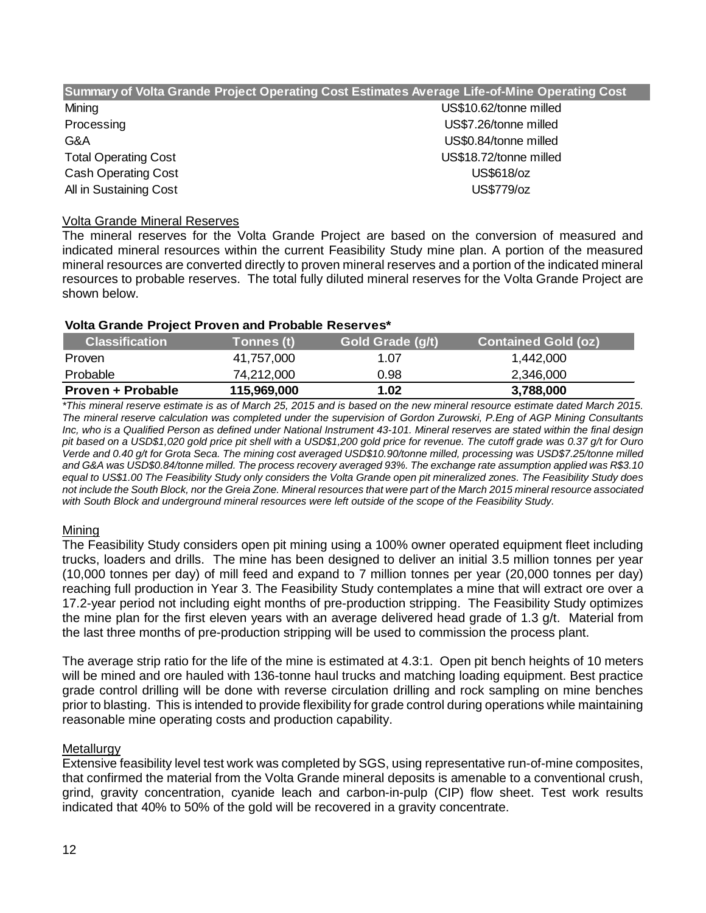|  | Summary of Volta Grande Project Operating Cost Estimates Average Life-of-Mine Operating Cost |  |
|--|----------------------------------------------------------------------------------------------|--|
|--|----------------------------------------------------------------------------------------------|--|

Cash Operating Cost US\$618/oz All in Sustaining Cost US\$779/oz

Mining Mining **Contract Contract Contract Contract Contract Contract Contract Contract Contract Contract Contract Contract Contract Contract Contract Contract Contract Contract Contract Contract Contract Contract Contract** Processing US\$7.26/tonne milled G&A US\$0.84/tonne milled Total Operating Cost **Total Operation** Cost **US\$18.72/tonne** milled

# Volta Grande Mineral Reserves

The mineral reserves for the Volta Grande Project are based on the conversion of measured and indicated mineral resources within the current Feasibility Study mine plan. A portion of the measured mineral resources are converted directly to proven mineral reserves and a portion of the indicated mineral resources to probable reserves. The total fully diluted mineral reserves for the Volta Grande Project are shown below.

# **Volta Grande Project Proven and Probable Reserves\***

| <b>Classification</b> | Tonnes (t) \ | Gold Grade (g/t) | <b>Contained Gold (oz)</b> |
|-----------------------|--------------|------------------|----------------------------|
| <b>Proven</b>         | 41,757,000   | 1.07             | 1,442,000                  |
| Probable              | 74,212,000   | 0.98             | 2,346,000                  |
| Proven + Probable     | 115,969,000  | 1.02             | 3,788,000                  |

*\*This mineral reserve estimate is as of March 25, 2015 and is based on the new mineral resource estimate dated March 2015. The mineral reserve calculation was completed under the supervision of Gordon Zurowski, P.Eng of AGP Mining Consultants Inc, who is a Qualified Person as defined under National Instrument 43-101. Mineral reserves are stated within the final design pit based on a USD\$1,020 gold price pit shell with a USD\$1,200 gold price for revenue. The cutoff grade was 0.37 g/t for Ouro Verde and 0.40 g/t for Grota Seca. The mining cost averaged USD\$10.90/tonne milled, processing was USD\$7.25/tonne milled and G&A was USD\$0.84/tonne milled. The process recovery averaged 93%. The exchange rate assumption applied was R\$3.10 equal to US\$1.00 The Feasibility Study only considers the Volta Grande open pit mineralized zones. The Feasibility Study does not include the South Block, nor the Greia Zone. Mineral resources that were part of the March 2015 mineral resource associated with South Block and underground mineral resources were left outside of the scope of the Feasibility Study.* 

# Mining

The Feasibility Study considers open pit mining using a 100% owner operated equipment fleet including trucks, loaders and drills. The mine has been designed to deliver an initial 3.5 million tonnes per year (10,000 tonnes per day) of mill feed and expand to 7 million tonnes per year (20,000 tonnes per day) reaching full production in Year 3. The Feasibility Study contemplates a mine that will extract ore over a 17.2-year period not including eight months of pre-production stripping. The Feasibility Study optimizes the mine plan for the first eleven years with an average delivered head grade of 1.3 g/t. Material from the last three months of pre-production stripping will be used to commission the process plant.

The average strip ratio for the life of the mine is estimated at 4.3:1. Open pit bench heights of 10 meters will be mined and ore hauled with 136-tonne haul trucks and matching loading equipment. Best practice grade control drilling will be done with reverse circulation drilling and rock sampling on mine benches prior to blasting. This is intended to provide flexibility for grade control during operations while maintaining reasonable mine operating costs and production capability.

# **Metallurgy**

Extensive feasibility level test work was completed by SGS, using representative run-of-mine composites, that confirmed the material from the Volta Grande mineral deposits is amenable to a conventional crush, grind, gravity concentration, cyanide leach and carbon-in-pulp (CIP) flow sheet. Test work results indicated that 40% to 50% of the gold will be recovered in a gravity concentrate.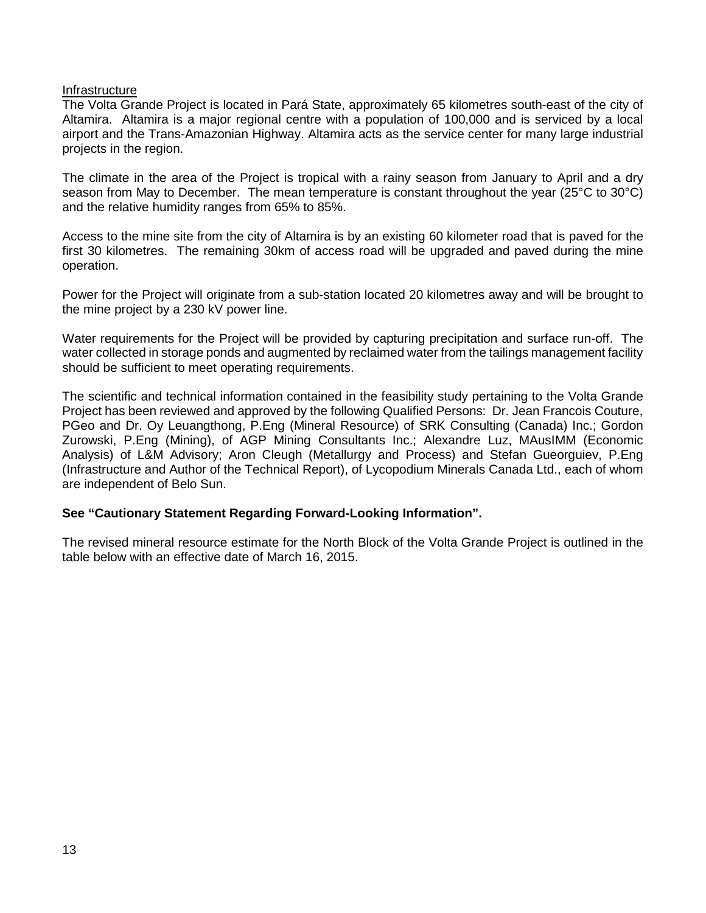## Infrastructure

The Volta Grande Project is located in Pará State, approximately 65 kilometres south-east of the city of Altamira. Altamira is a major regional centre with a population of 100,000 and is serviced by a local airport and the Trans-Amazonian Highway. Altamira acts as the service center for many large industrial projects in the region.

The climate in the area of the Project is tropical with a rainy season from January to April and a dry season from May to December. The mean temperature is constant throughout the year (25°C to 30°C) and the relative humidity ranges from 65% to 85%.

Access to the mine site from the city of Altamira is by an existing 60 kilometer road that is paved for the first 30 kilometres. The remaining 30km of access road will be upgraded and paved during the mine operation.

Power for the Project will originate from a sub-station located 20 kilometres away and will be brought to the mine project by a 230 kV power line.

Water requirements for the Project will be provided by capturing precipitation and surface run-off. The water collected in storage ponds and augmented by reclaimed water from the tailings management facility should be sufficient to meet operating requirements.

The scientific and technical information contained in the feasibility study pertaining to the Volta Grande Project has been reviewed and approved by the following Qualified Persons: Dr. Jean Francois Couture, PGeo and Dr. Oy Leuangthong, P.Eng (Mineral Resource) of SRK Consulting (Canada) Inc.; Gordon Zurowski, P.Eng (Mining), of AGP Mining Consultants Inc.; Alexandre Luz, MAusIMM (Economic Analysis) of L&M Advisory; Aron Cleugh (Metallurgy and Process) and Stefan Gueorguiev, P.Eng (Infrastructure and Author of the Technical Report), of Lycopodium Minerals Canada Ltd., each of whom are independent of Belo Sun.

#### **See "Cautionary Statement Regarding Forward-Looking Information".**

The revised mineral resource estimate for the North Block of the Volta Grande Project is outlined in the table below with an effective date of March 16, 2015.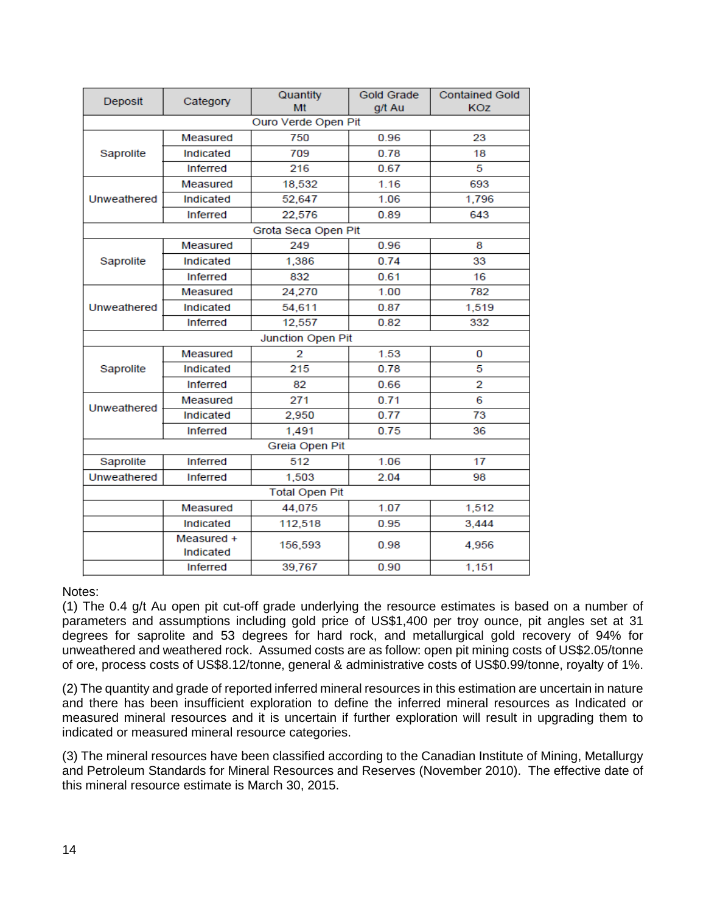| Deposit         | Category                | Quantity<br>Mt        | <b>Gold Grade</b><br>g/t Au | <b>Contained Gold</b><br><b>KOZ</b> |  |  |
|-----------------|-------------------------|-----------------------|-----------------------------|-------------------------------------|--|--|
|                 |                         | Ouro Verde Open Pit   |                             |                                     |  |  |
|                 | Measured                | 750                   | 0.96                        | 23                                  |  |  |
| Saprolite       | Indicated               | 709                   | 0.78                        | 18                                  |  |  |
|                 | <b>Inferred</b>         | 216                   | 0.67                        | 5                                   |  |  |
|                 | Measured                | 18,532                | 1.16                        | 693                                 |  |  |
| Unweathered     | Indicated               | 52,647                | 1.06                        | 1,796                               |  |  |
|                 | <b>Inferred</b>         | 22,576                | 0.89                        | 643                                 |  |  |
|                 |                         | Grota Seca Open Pit   |                             |                                     |  |  |
|                 | Measured                | 249                   | 0.96                        | 8                                   |  |  |
| Saprolite       | Indicated               | 1,386                 | 0.74                        | 33                                  |  |  |
|                 | <b>Inferred</b>         | 832                   | 0.61                        | 16                                  |  |  |
|                 | Measured                | 24,270                | 1.00                        | 782                                 |  |  |
| Unweathered     | Indicated               | 54,611                | 0.87                        | 1,519                               |  |  |
| <b>Inferred</b> |                         | 12,557                | 0.82                        | 332                                 |  |  |
|                 |                         | Junction Open Pit     |                             |                                     |  |  |
|                 | Measured                | 2                     | 1.53                        | 0                                   |  |  |
| Saprolite       | Indicated               | 215                   | 0.78                        | 5                                   |  |  |
|                 | <b>Inferred</b>         | 82                    | 0.66                        | $\overline{2}$                      |  |  |
| Unweathered     | Measured                | 271                   | 0.71                        | 6                                   |  |  |
|                 | Indicated               | 2,950                 | 0.77                        | 73                                  |  |  |
|                 | Inferred                | 1,491                 | 0.75                        | 36                                  |  |  |
|                 |                         | Greia Open Pit        |                             |                                     |  |  |
| Saprolite       | <b>Inferred</b>         | 512                   | 1.06                        | 17                                  |  |  |
| Unweathered     | Inferred                | 1,503                 | 2.04                        | 98                                  |  |  |
|                 |                         | <b>Total Open Pit</b> |                             |                                     |  |  |
|                 | Measured                | 44,075                | 1.07                        | 1,512                               |  |  |
|                 | Indicated               | 112,518               | 0.95                        | 3,444                               |  |  |
|                 | Measured +<br>Indicated | 156,593               | 0.98                        | 4,956                               |  |  |
|                 | <b>Inferred</b>         | 39,767                | 0.90                        | 1,151                               |  |  |

Notes:

(1) The 0.4 g/t Au open pit cut-off grade underlying the resource estimates is based on a number of parameters and assumptions including gold price of US\$1,400 per troy ounce, pit angles set at 31 degrees for saprolite and 53 degrees for hard rock, and metallurgical gold recovery of 94% for unweathered and weathered rock. Assumed costs are as follow: open pit mining costs of US\$2.05/tonne of ore, process costs of US\$8.12/tonne, general & administrative costs of US\$0.99/tonne, royalty of 1%.

(2) The quantity and grade of reported inferred mineral resources in this estimation are uncertain in nature and there has been insufficient exploration to define the inferred mineral resources as Indicated or measured mineral resources and it is uncertain if further exploration will result in upgrading them to indicated or measured mineral resource categories.

(3) The mineral resources have been classified according to the Canadian Institute of Mining, Metallurgy and Petroleum Standards for Mineral Resources and Reserves (November 2010). The effective date of this mineral resource estimate is March 30, 2015.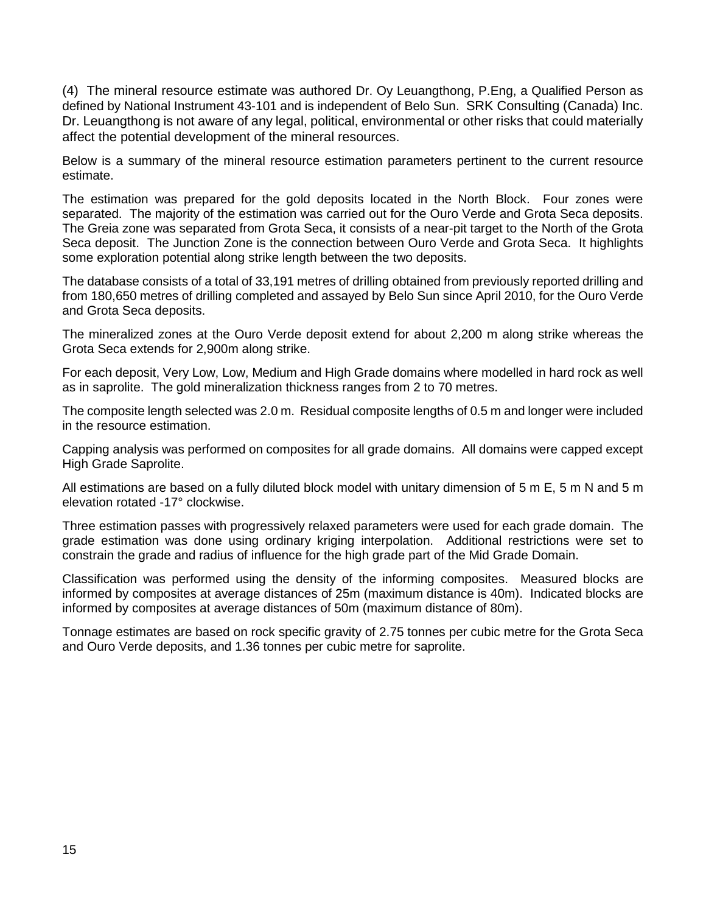(4) The mineral resource estimate was authored Dr. Oy Leuangthong, P.Eng, a Qualified Person as defined by National Instrument 43-101 and is independent of Belo Sun. SRK Consulting (Canada) Inc. Dr. Leuangthong is not aware of any legal, political, environmental or other risks that could materially affect the potential development of the mineral resources.

Below is a summary of the mineral resource estimation parameters pertinent to the current resource estimate.

The estimation was prepared for the gold deposits located in the North Block. Four zones were separated. The majority of the estimation was carried out for the Ouro Verde and Grota Seca deposits. The Greia zone was separated from Grota Seca, it consists of a near-pit target to the North of the Grota Seca deposit. The Junction Zone is the connection between Ouro Verde and Grota Seca. It highlights some exploration potential along strike length between the two deposits.

The database consists of a total of 33,191 metres of drilling obtained from previously reported drilling and from 180,650 metres of drilling completed and assayed by Belo Sun since April 2010, for the Ouro Verde and Grota Seca deposits.

The mineralized zones at the Ouro Verde deposit extend for about 2,200 m along strike whereas the Grota Seca extends for 2,900m along strike.

For each deposit, Very Low, Low, Medium and High Grade domains where modelled in hard rock as well as in saprolite. The gold mineralization thickness ranges from 2 to 70 metres.

The composite length selected was 2.0 m. Residual composite lengths of 0.5 m and longer were included in the resource estimation.

Capping analysis was performed on composites for all grade domains. All domains were capped except High Grade Saprolite.

All estimations are based on a fully diluted block model with unitary dimension of 5 m E, 5 m N and 5 m elevation rotated -17° clockwise.

Three estimation passes with progressively relaxed parameters were used for each grade domain. The grade estimation was done using ordinary kriging interpolation. Additional restrictions were set to constrain the grade and radius of influence for the high grade part of the Mid Grade Domain.

Classification was performed using the density of the informing composites. Measured blocks are informed by composites at average distances of 25m (maximum distance is 40m). Indicated blocks are informed by composites at average distances of 50m (maximum distance of 80m).

Tonnage estimates are based on rock specific gravity of 2.75 tonnes per cubic metre for the Grota Seca and Ouro Verde deposits, and 1.36 tonnes per cubic metre for saprolite.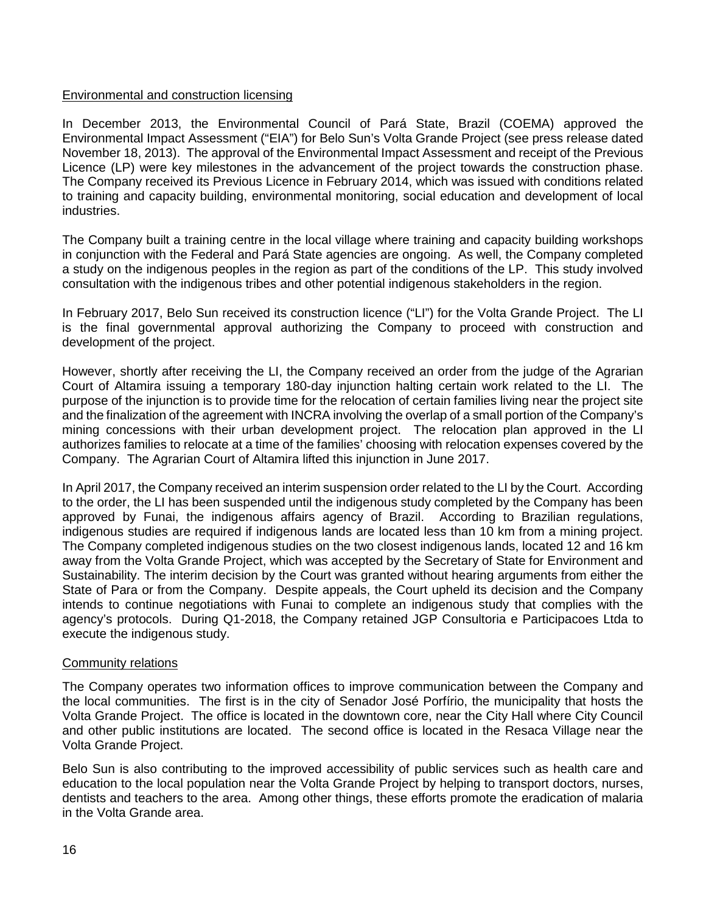# Environmental and construction licensing

In December 2013, the Environmental Council of Pará State, Brazil (COEMA) approved the Environmental Impact Assessment ("EIA") for Belo Sun's Volta Grande Project (see press release dated November 18, 2013). The approval of the Environmental Impact Assessment and receipt of the Previous Licence (LP) were key milestones in the advancement of the project towards the construction phase. The Company received its Previous Licence in February 2014, which was issued with conditions related to training and capacity building, environmental monitoring, social education and development of local industries.

The Company built a training centre in the local village where training and capacity building workshops in conjunction with the Federal and Pará State agencies are ongoing. As well, the Company completed a study on the indigenous peoples in the region as part of the conditions of the LP. This study involved consultation with the indigenous tribes and other potential indigenous stakeholders in the region.

In February 2017, Belo Sun received its construction licence ("LI") for the Volta Grande Project. The LI is the final governmental approval authorizing the Company to proceed with construction and development of the project.

However, shortly after receiving the LI, the Company received an order from the judge of the Agrarian Court of Altamira issuing a temporary 180-day injunction halting certain work related to the LI. The purpose of the injunction is to provide time for the relocation of certain families living near the project site and the finalization of the agreement with INCRA involving the overlap of a small portion of the Company's mining concessions with their urban development project. The relocation plan approved in the LI authorizes families to relocate at a time of the families' choosing with relocation expenses covered by the Company. The Agrarian Court of Altamira lifted this injunction in June 2017.

In April 2017, the Company received an interim suspension order related to the LI by the Court. According to the order, the LI has been suspended until the indigenous study completed by the Company has been approved by Funai, the indigenous affairs agency of Brazil. According to Brazilian regulations, indigenous studies are required if indigenous lands are located less than 10 km from a mining project. The Company completed indigenous studies on the two closest indigenous lands, located 12 and 16 km away from the Volta Grande Project, which was accepted by the Secretary of State for Environment and Sustainability. The interim decision by the Court was granted without hearing arguments from either the State of Para or from the Company. Despite appeals, the Court upheld its decision and the Company intends to continue negotiations with Funai to complete an indigenous study that complies with the agency's protocols. During Q1-2018, the Company retained JGP Consultoria e Participacoes Ltda to execute the indigenous study.

#### Community relations

The Company operates two information offices to improve communication between the Company and the local communities. The first is in the city of Senador José Porfírio, the municipality that hosts the Volta Grande Project. The office is located in the downtown core, near the City Hall where City Council and other public institutions are located. The second office is located in the Resaca Village near the Volta Grande Project.

Belo Sun is also contributing to the improved accessibility of public services such as health care and education to the local population near the Volta Grande Project by helping to transport doctors, nurses, dentists and teachers to the area. Among other things, these efforts promote the eradication of malaria in the Volta Grande area.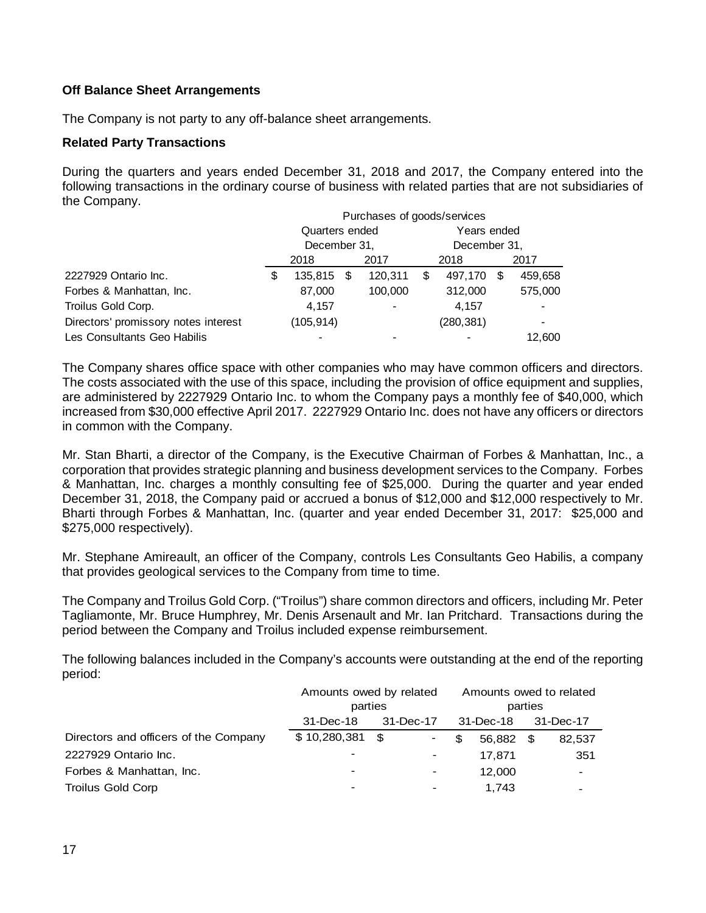# **Off Balance Sheet Arrangements**

The Company is not party to any off-balance sheet arrangements.

#### **Related Party Transactions**

During the quarters and years ended December 31, 2018 and 2017, the Company entered into the following transactions in the ordinary course of business with related parties that are not subsidiaries of the Company.

|                                      | Purchases of goods/services |                                |      |         |             |              |   |         |
|--------------------------------------|-----------------------------|--------------------------------|------|---------|-------------|--------------|---|---------|
|                                      |                             | Quarters ended<br>December 31, |      |         | Years ended |              |   |         |
|                                      |                             |                                |      |         |             | December 31, |   |         |
|                                      | 2018<br>2017                |                                | 2018 |         | 2017        |              |   |         |
| 2227929 Ontario Inc.                 | \$                          | 135,815                        | - \$ | 120,311 | \$          | 497,170      | S | 459,658 |
| Forbes & Manhattan, Inc.             |                             | 87,000                         |      | 100,000 |             | 312,000      |   | 575,000 |
| Troilus Gold Corp.                   |                             | 4.157                          |      |         |             | 4,157        |   |         |
| Directors' promissory notes interest |                             | (105, 914)                     |      |         |             | (280, 381)   |   |         |
| Les Consultants Geo Habilis          |                             | $\blacksquare$                 |      |         |             |              |   | 12,600  |

The Company shares office space with other companies who may have common officers and directors. The costs associated with the use of this space, including the provision of office equipment and supplies, are administered by 2227929 Ontario Inc. to whom the Company pays a monthly fee of \$40,000, which increased from \$30,000 effective April 2017. 2227929 Ontario Inc. does not have any officers or directors in common with the Company.

Mr. Stan Bharti, a director of the Company, is the Executive Chairman of Forbes & Manhattan, Inc., a corporation that provides strategic planning and business development services to the Company. Forbes & Manhattan, Inc. charges a monthly consulting fee of \$25,000. During the quarter and year ended December 31, 2018, the Company paid or accrued a bonus of \$12,000 and \$12,000 respectively to Mr. Bharti through Forbes & Manhattan, Inc. (quarter and year ended December 31, 2017: \$25,000 and \$275,000 respectively).

Mr. Stephane Amireault, an officer of the Company, controls Les Consultants Geo Habilis, a company that provides geological services to the Company from time to time.

The Company and Troilus Gold Corp. ("Troilus") share common directors and officers, including Mr. Peter Tagliamonte, Mr. Bruce Humphrey, Mr. Denis Arsenault and Mr. Ian Pritchard. Transactions during the period between the Company and Troilus included expense reimbursement.

The following balances included in the Company's accounts were outstanding at the end of the reporting period:

|                                       | Amounts owed by related  |                |   | Amounts owed to related |                        |                |  |
|---------------------------------------|--------------------------|----------------|---|-------------------------|------------------------|----------------|--|
|                                       | parties                  |                |   | parties                 |                        |                |  |
|                                       | 31-Dec-18                | 31-Dec-17      |   |                         | 31-Dec-18<br>31-Dec-17 |                |  |
| Directors and officers of the Company | $$10,280,381$ \$         | $\blacksquare$ | S | 56.882                  | -S                     | 82,537         |  |
| 2227929 Ontario Inc.                  | $\,$                     |                |   | 17.871                  |                        | 351            |  |
| Forbes & Manhattan, Inc.              | $\overline{\phantom{a}}$ |                |   | 12,000                  |                        | $\blacksquare$ |  |
| <b>Troilus Gold Corp</b>              | $\overline{\phantom{a}}$ |                |   | 1.743                   |                        |                |  |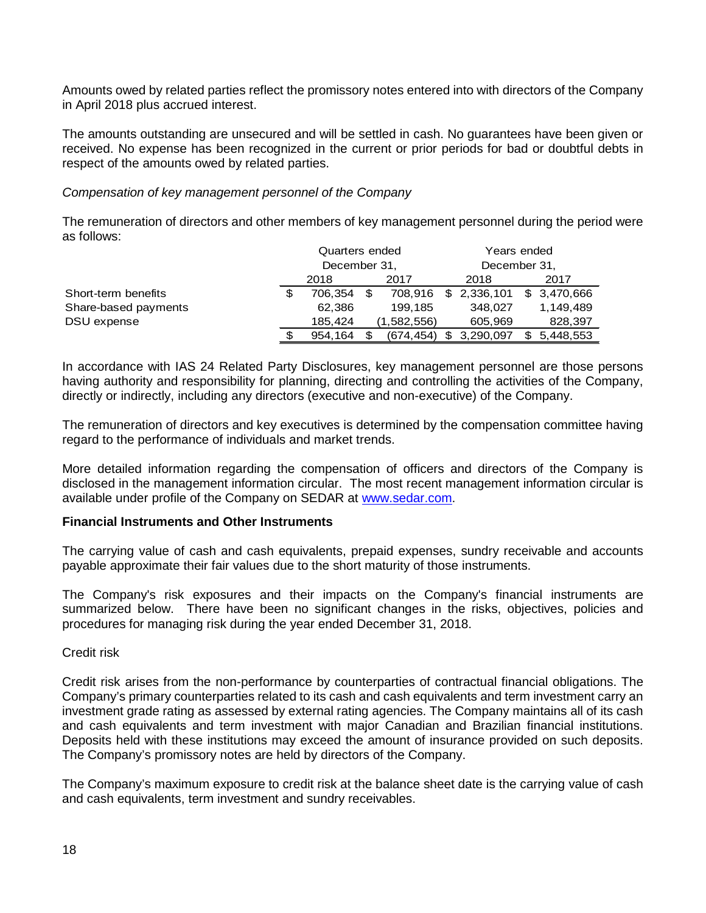Amounts owed by related parties reflect the promissory notes entered into with directors of the Company in April 2018 plus accrued interest.

The amounts outstanding are unsecured and will be settled in cash. No guarantees have been given or received. No expense has been recognized in the current or prior periods for bad or doubtful debts in respect of the amounts owed by related parties.

## *Compensation of key management personnel of the Company*

The remuneration of directors and other members of key management personnel during the period were as follows:

|                      |   |              | Quarters ended |                 | Years ended<br>December 31, |  |  |
|----------------------|---|--------------|----------------|-----------------|-----------------------------|--|--|
|                      |   | December 31, |                |                 |                             |  |  |
|                      |   | 2018         | 2017           | 2018            | 2017                        |  |  |
| Short-term benefits  | S | 706.354      | 708.916        | 2,336,101<br>\$ | \$ 3,470,666                |  |  |
| Share-based payments |   | 62,386       | 199,185        | 348.027         | 1,149,489                   |  |  |
| DSU expense          |   | 185.424      | (1,582,556)    | 605,969         | 828,397                     |  |  |
|                      | S | 954.164      | (674.454)      | 3,290,097       | 5,448,553                   |  |  |

In accordance with IAS 24 Related Party Disclosures, key management personnel are those persons having authority and responsibility for planning, directing and controlling the activities of the Company, directly or indirectly, including any directors (executive and non-executive) of the Company.

The remuneration of directors and key executives is determined by the compensation committee having regard to the performance of individuals and market trends.

More detailed information regarding the compensation of officers and directors of the Company is disclosed in the management information circular. The most recent management information circular is available under profile of the Company on SEDAR at www.sedar.com.

#### **Financial Instruments and Other Instruments**

The carrying value of cash and cash equivalents, prepaid expenses, sundry receivable and accounts payable approximate their fair values due to the short maturity of those instruments.

The Company's risk exposures and their impacts on the Company's financial instruments are summarized below. There have been no significant changes in the risks, objectives, policies and procedures for managing risk during the year ended December 31, 2018.

Credit risk

Credit risk arises from the non-performance by counterparties of contractual financial obligations. The Company's primary counterparties related to its cash and cash equivalents and term investment carry an investment grade rating as assessed by external rating agencies. The Company maintains all of its cash and cash equivalents and term investment with major Canadian and Brazilian financial institutions. Deposits held with these institutions may exceed the amount of insurance provided on such deposits. The Company's promissory notes are held by directors of the Company.

The Company's maximum exposure to credit risk at the balance sheet date is the carrying value of cash and cash equivalents, term investment and sundry receivables.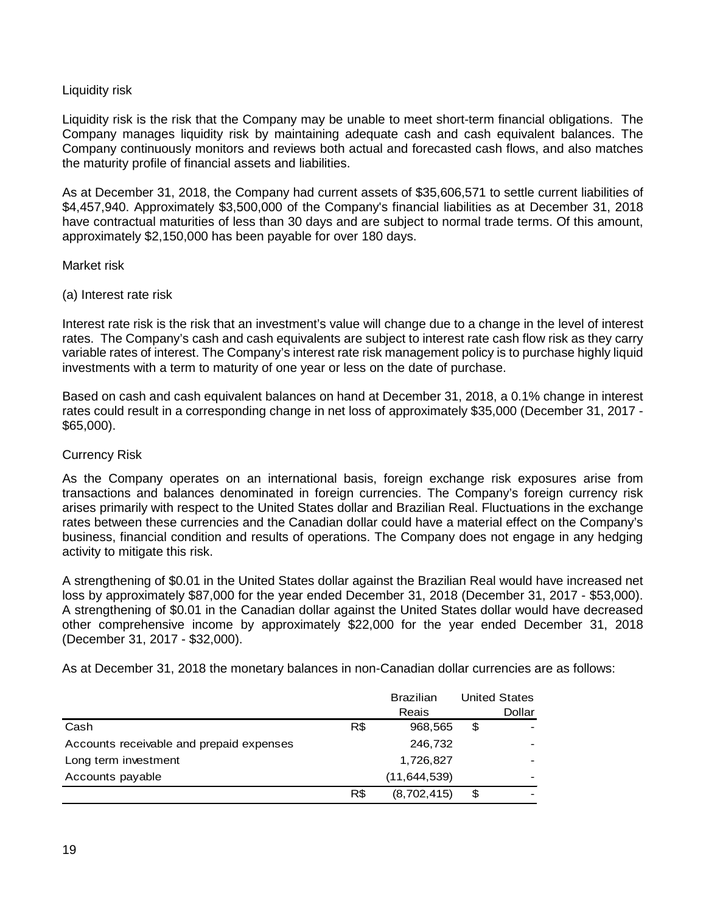# Liquidity risk

Liquidity risk is the risk that the Company may be unable to meet short-term financial obligations. The Company manages liquidity risk by maintaining adequate cash and cash equivalent balances. The Company continuously monitors and reviews both actual and forecasted cash flows, and also matches the maturity profile of financial assets and liabilities.

As at December 31, 2018, the Company had current assets of \$35,606,571 to settle current liabilities of \$4,457,940. Approximately \$3,500,000 of the Company's financial liabilities as at December 31, 2018 have contractual maturities of less than 30 days and are subject to normal trade terms. Of this amount, approximately \$2,150,000 has been payable for over 180 days.

# Market risk

# (a) Interest rate risk

Interest rate risk is the risk that an investment's value will change due to a change in the level of interest rates. The Company's cash and cash equivalents are subject to interest rate cash flow risk as they carry variable rates of interest. The Company's interest rate risk management policy is to purchase highly liquid investments with a term to maturity of one year or less on the date of purchase.

Based on cash and cash equivalent balances on hand at December 31, 2018, a 0.1% change in interest rates could result in a corresponding change in net loss of approximately \$35,000 (December 31, 2017 - \$65,000).

# Currency Risk

As the Company operates on an international basis, foreign exchange risk exposures arise from transactions and balances denominated in foreign currencies. The Company's foreign currency risk arises primarily with respect to the United States dollar and Brazilian Real. Fluctuations in the exchange rates between these currencies and the Canadian dollar could have a material effect on the Company's business, financial condition and results of operations. The Company does not engage in any hedging activity to mitigate this risk.

A strengthening of \$0.01 in the United States dollar against the Brazilian Real would have increased net loss by approximately \$87,000 for the year ended December 31, 2018 (December 31, 2017 - \$53,000). A strengthening of \$0.01 in the Canadian dollar against the United States dollar would have decreased other comprehensive income by approximately \$22,000 for the year ended December 31, 2018 (December 31, 2017 - \$32,000).

As at December 31, 2018 the monetary balances in non-Canadian dollar currencies are as follows:

|                                          |     | <b>Brazilian</b> | <b>United States</b> |        |
|------------------------------------------|-----|------------------|----------------------|--------|
|                                          |     | Reais            |                      | Dollar |
| Cash                                     | R\$ | 968,565          | \$                   |        |
| Accounts receivable and prepaid expenses |     | 246,732          |                      |        |
| Long term investment                     |     | 1,726,827        |                      |        |
| Accounts payable                         |     | (11, 644, 539)   |                      |        |
|                                          | R\$ | (8,702,415)      | \$                   |        |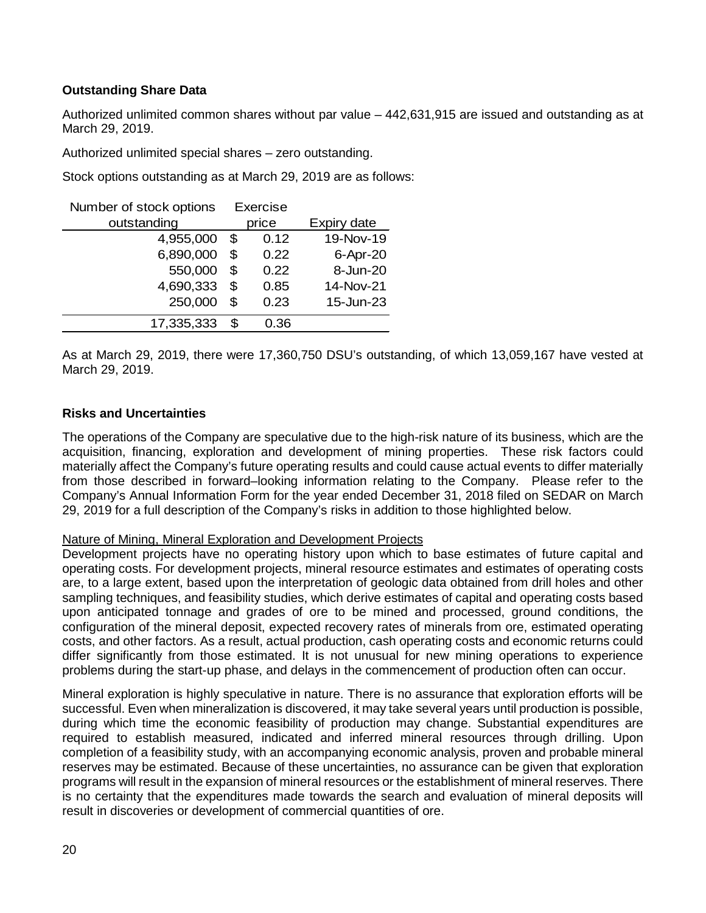# **Outstanding Share Data**

Authorized unlimited common shares without par value – 442,631,915 are issued and outstanding as at March 29, 2019.

Authorized unlimited special shares – zero outstanding.

Stock options outstanding as at March 29, 2019 are as follows:

| Number of stock options |    | Exercise |             |
|-------------------------|----|----------|-------------|
| outstanding             |    | price    | Expiry date |
| 4,955,000               | \$ | 0.12     | 19-Nov-19   |
| 6,890,000               | \$ | 0.22     | 6-Apr-20    |
| 550,000                 | \$ | 0.22     | 8-Jun-20    |
| 4,690,333               | \$ | 0.85     | 14-Nov-21   |
| 250,000                 | \$ | 0.23     | 15-Jun-23   |
| 17,335,333              | \$ | 0.36     |             |

As at March 29, 2019, there were 17,360,750 DSU's outstanding, of which 13,059,167 have vested at March 29, 2019.

# **Risks and Uncertainties**

The operations of the Company are speculative due to the high-risk nature of its business, which are the acquisition, financing, exploration and development of mining properties. These risk factors could materially affect the Company's future operating results and could cause actual events to differ materially from those described in forward–looking information relating to the Company. Please refer to the Company's Annual Information Form for the year ended December 31, 2018 filed on SEDAR on March 29, 2019 for a full description of the Company's risks in addition to those highlighted below.

#### Nature of Mining, Mineral Exploration and Development Projects

Development projects have no operating history upon which to base estimates of future capital and operating costs. For development projects, mineral resource estimates and estimates of operating costs are, to a large extent, based upon the interpretation of geologic data obtained from drill holes and other sampling techniques, and feasibility studies, which derive estimates of capital and operating costs based upon anticipated tonnage and grades of ore to be mined and processed, ground conditions, the configuration of the mineral deposit, expected recovery rates of minerals from ore, estimated operating costs, and other factors. As a result, actual production, cash operating costs and economic returns could differ significantly from those estimated. It is not unusual for new mining operations to experience problems during the start-up phase, and delays in the commencement of production often can occur.

Mineral exploration is highly speculative in nature. There is no assurance that exploration efforts will be successful. Even when mineralization is discovered, it may take several years until production is possible, during which time the economic feasibility of production may change. Substantial expenditures are required to establish measured, indicated and inferred mineral resources through drilling. Upon completion of a feasibility study, with an accompanying economic analysis, proven and probable mineral reserves may be estimated. Because of these uncertainties, no assurance can be given that exploration programs will result in the expansion of mineral resources or the establishment of mineral reserves. There is no certainty that the expenditures made towards the search and evaluation of mineral deposits will result in discoveries or development of commercial quantities of ore.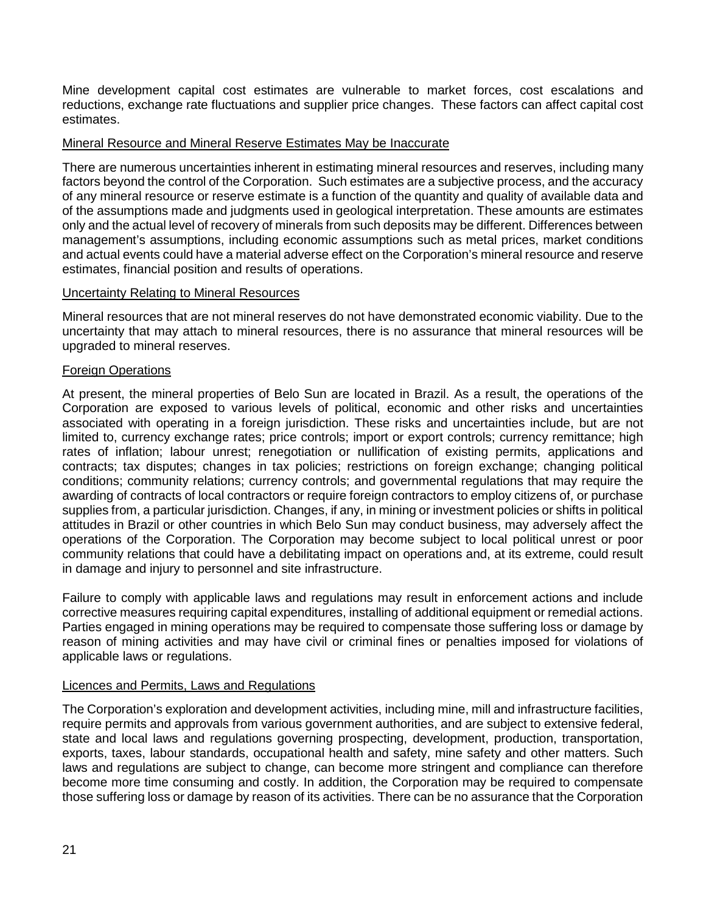Mine development capital cost estimates are vulnerable to market forces, cost escalations and reductions, exchange rate fluctuations and supplier price changes. These factors can affect capital cost estimates.

#### Mineral Resource and Mineral Reserve Estimates May be Inaccurate

There are numerous uncertainties inherent in estimating mineral resources and reserves, including many factors beyond the control of the Corporation. Such estimates are a subjective process, and the accuracy of any mineral resource or reserve estimate is a function of the quantity and quality of available data and of the assumptions made and judgments used in geological interpretation. These amounts are estimates only and the actual level of recovery of minerals from such deposits may be different. Differences between management's assumptions, including economic assumptions such as metal prices, market conditions and actual events could have a material adverse effect on the Corporation's mineral resource and reserve estimates, financial position and results of operations.

## Uncertainty Relating to Mineral Resources

Mineral resources that are not mineral reserves do not have demonstrated economic viability. Due to the uncertainty that may attach to mineral resources, there is no assurance that mineral resources will be upgraded to mineral reserves.

## Foreign Operations

At present, the mineral properties of Belo Sun are located in Brazil. As a result, the operations of the Corporation are exposed to various levels of political, economic and other risks and uncertainties associated with operating in a foreign jurisdiction. These risks and uncertainties include, but are not limited to, currency exchange rates; price controls; import or export controls; currency remittance; high rates of inflation; labour unrest; renegotiation or nullification of existing permits, applications and contracts; tax disputes; changes in tax policies; restrictions on foreign exchange; changing political conditions; community relations; currency controls; and governmental regulations that may require the awarding of contracts of local contractors or require foreign contractors to employ citizens of, or purchase supplies from, a particular jurisdiction. Changes, if any, in mining or investment policies or shifts in political attitudes in Brazil or other countries in which Belo Sun may conduct business, may adversely affect the operations of the Corporation. The Corporation may become subject to local political unrest or poor community relations that could have a debilitating impact on operations and, at its extreme, could result in damage and injury to personnel and site infrastructure.

Failure to comply with applicable laws and regulations may result in enforcement actions and include corrective measures requiring capital expenditures, installing of additional equipment or remedial actions. Parties engaged in mining operations may be required to compensate those suffering loss or damage by reason of mining activities and may have civil or criminal fines or penalties imposed for violations of applicable laws or regulations.

#### Licences and Permits, Laws and Regulations

The Corporation's exploration and development activities, including mine, mill and infrastructure facilities, require permits and approvals from various government authorities, and are subject to extensive federal, state and local laws and regulations governing prospecting, development, production, transportation, exports, taxes, labour standards, occupational health and safety, mine safety and other matters. Such laws and regulations are subject to change, can become more stringent and compliance can therefore become more time consuming and costly. In addition, the Corporation may be required to compensate those suffering loss or damage by reason of its activities. There can be no assurance that the Corporation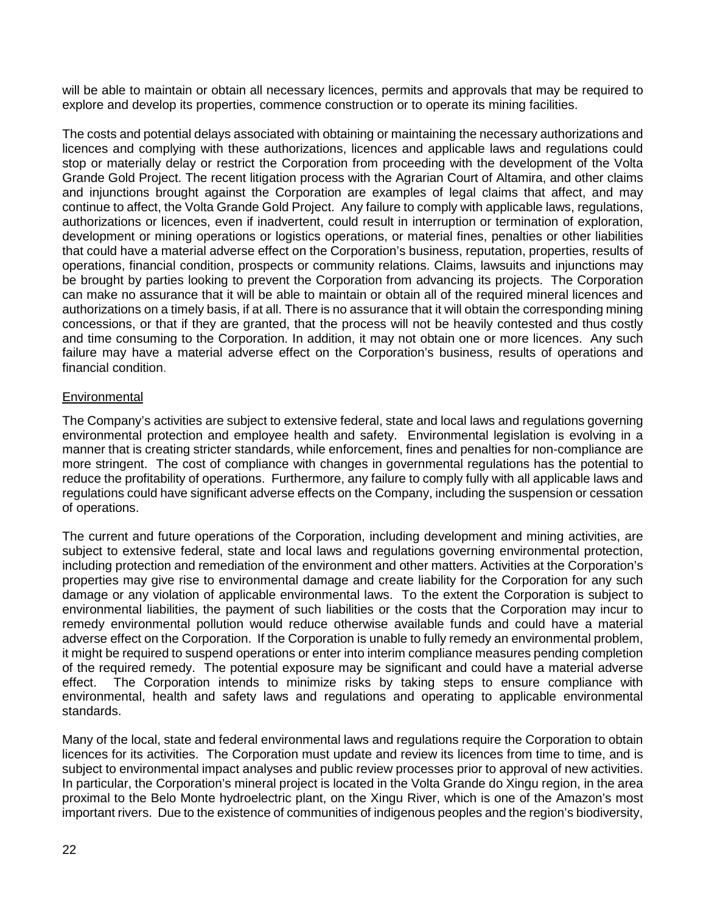will be able to maintain or obtain all necessary licences, permits and approvals that may be required to explore and develop its properties, commence construction or to operate its mining facilities.

The costs and potential delays associated with obtaining or maintaining the necessary authorizations and licences and complying with these authorizations, licences and applicable laws and regulations could stop or materially delay or restrict the Corporation from proceeding with the development of the Volta Grande Gold Project. The recent litigation process with the Agrarian Court of Altamira, and other claims and injunctions brought against the Corporation are examples of legal claims that affect, and may continue to affect, the Volta Grande Gold Project. Any failure to comply with applicable laws, regulations, authorizations or licences, even if inadvertent, could result in interruption or termination of exploration, development or mining operations or logistics operations, or material fines, penalties or other liabilities that could have a material adverse effect on the Corporation's business, reputation, properties, results of operations, financial condition, prospects or community relations. Claims, lawsuits and injunctions may be brought by parties looking to prevent the Corporation from advancing its projects. The Corporation can make no assurance that it will be able to maintain or obtain all of the required mineral licences and authorizations on a timely basis, if at all. There is no assurance that it will obtain the corresponding mining concessions, or that if they are granted, that the process will not be heavily contested and thus costly and time consuming to the Corporation. In addition, it may not obtain one or more licences. Any such failure may have a material adverse effect on the Corporation's business, results of operations and financial condition.

# **Environmental**

The Company's activities are subject to extensive federal, state and local laws and regulations governing environmental protection and employee health and safety. Environmental legislation is evolving in a manner that is creating stricter standards, while enforcement, fines and penalties for non-compliance are more stringent. The cost of compliance with changes in governmental regulations has the potential to reduce the profitability of operations. Furthermore, any failure to comply fully with all applicable laws and regulations could have significant adverse effects on the Company, including the suspension or cessation of operations.

The current and future operations of the Corporation, including development and mining activities, are subject to extensive federal, state and local laws and regulations governing environmental protection, including protection and remediation of the environment and other matters. Activities at the Corporation's properties may give rise to environmental damage and create liability for the Corporation for any such damage or any violation of applicable environmental laws. To the extent the Corporation is subject to environmental liabilities, the payment of such liabilities or the costs that the Corporation may incur to remedy environmental pollution would reduce otherwise available funds and could have a material adverse effect on the Corporation. If the Corporation is unable to fully remedy an environmental problem, it might be required to suspend operations or enter into interim compliance measures pending completion of the required remedy. The potential exposure may be significant and could have a material adverse effect. The Corporation intends to minimize risks by taking steps to ensure compliance with environmental, health and safety laws and regulations and operating to applicable environmental standards.

Many of the local, state and federal environmental laws and regulations require the Corporation to obtain licences for its activities. The Corporation must update and review its licences from time to time, and is subject to environmental impact analyses and public review processes prior to approval of new activities. In particular, the Corporation's mineral project is located in the Volta Grande do Xingu region, in the area proximal to the Belo Monte hydroelectric plant, on the Xingu River, which is one of the Amazon's most important rivers. Due to the existence of communities of indigenous peoples and the region's biodiversity,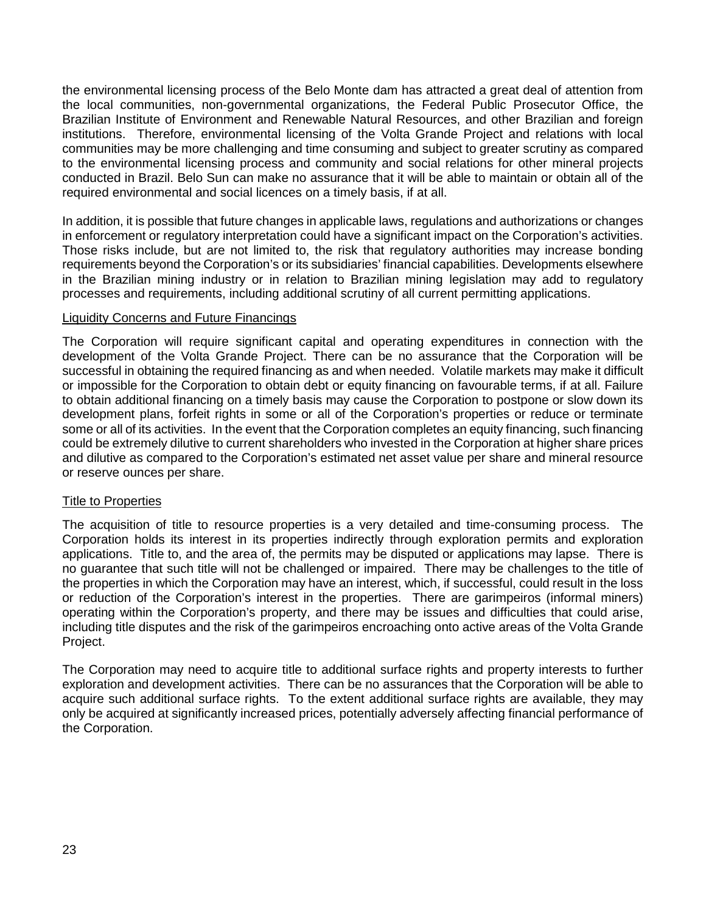the environmental licensing process of the Belo Monte dam has attracted a great deal of attention from the local communities, non-governmental organizations, the Federal Public Prosecutor Office, the Brazilian Institute of Environment and Renewable Natural Resources, and other Brazilian and foreign institutions. Therefore, environmental licensing of the Volta Grande Project and relations with local communities may be more challenging and time consuming and subject to greater scrutiny as compared to the environmental licensing process and community and social relations for other mineral projects conducted in Brazil. Belo Sun can make no assurance that it will be able to maintain or obtain all of the required environmental and social licences on a timely basis, if at all.

In addition, it is possible that future changes in applicable laws, regulations and authorizations or changes in enforcement or regulatory interpretation could have a significant impact on the Corporation's activities. Those risks include, but are not limited to, the risk that regulatory authorities may increase bonding requirements beyond the Corporation's or its subsidiaries' financial capabilities. Developments elsewhere in the Brazilian mining industry or in relation to Brazilian mining legislation may add to regulatory processes and requirements, including additional scrutiny of all current permitting applications.

# Liquidity Concerns and Future Financings

The Corporation will require significant capital and operating expenditures in connection with the development of the Volta Grande Project. There can be no assurance that the Corporation will be successful in obtaining the required financing as and when needed. Volatile markets may make it difficult or impossible for the Corporation to obtain debt or equity financing on favourable terms, if at all. Failure to obtain additional financing on a timely basis may cause the Corporation to postpone or slow down its development plans, forfeit rights in some or all of the Corporation's properties or reduce or terminate some or all of its activities. In the event that the Corporation completes an equity financing, such financing could be extremely dilutive to current shareholders who invested in the Corporation at higher share prices and dilutive as compared to the Corporation's estimated net asset value per share and mineral resource or reserve ounces per share.

# Title to Properties

The acquisition of title to resource properties is a very detailed and time-consuming process. The Corporation holds its interest in its properties indirectly through exploration permits and exploration applications. Title to, and the area of, the permits may be disputed or applications may lapse. There is no guarantee that such title will not be challenged or impaired. There may be challenges to the title of the properties in which the Corporation may have an interest, which, if successful, could result in the loss or reduction of the Corporation's interest in the properties. There are garimpeiros (informal miners) operating within the Corporation's property, and there may be issues and difficulties that could arise, including title disputes and the risk of the garimpeiros encroaching onto active areas of the Volta Grande Project.

The Corporation may need to acquire title to additional surface rights and property interests to further exploration and development activities. There can be no assurances that the Corporation will be able to acquire such additional surface rights. To the extent additional surface rights are available, they may only be acquired at significantly increased prices, potentially adversely affecting financial performance of the Corporation.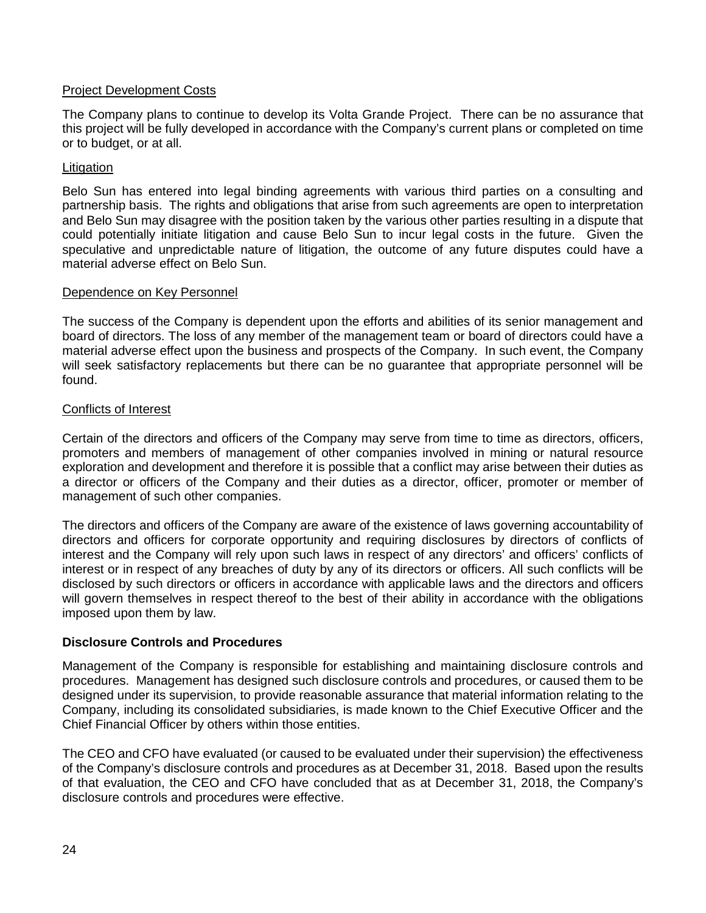# Project Development Costs

The Company plans to continue to develop its Volta Grande Project. There can be no assurance that this project will be fully developed in accordance with the Company's current plans or completed on time or to budget, or at all.

# **Litigation**

Belo Sun has entered into legal binding agreements with various third parties on a consulting and partnership basis. The rights and obligations that arise from such agreements are open to interpretation and Belo Sun may disagree with the position taken by the various other parties resulting in a dispute that could potentially initiate litigation and cause Belo Sun to incur legal costs in the future. Given the speculative and unpredictable nature of litigation, the outcome of any future disputes could have a material adverse effect on Belo Sun.

#### Dependence on Key Personnel

The success of the Company is dependent upon the efforts and abilities of its senior management and board of directors. The loss of any member of the management team or board of directors could have a material adverse effect upon the business and prospects of the Company. In such event, the Company will seek satisfactory replacements but there can be no guarantee that appropriate personnel will be found.

#### Conflicts of Interest

Certain of the directors and officers of the Company may serve from time to time as directors, officers, promoters and members of management of other companies involved in mining or natural resource exploration and development and therefore it is possible that a conflict may arise between their duties as a director or officers of the Company and their duties as a director, officer, promoter or member of management of such other companies.

The directors and officers of the Company are aware of the existence of laws governing accountability of directors and officers for corporate opportunity and requiring disclosures by directors of conflicts of interest and the Company will rely upon such laws in respect of any directors' and officers' conflicts of interest or in respect of any breaches of duty by any of its directors or officers. All such conflicts will be disclosed by such directors or officers in accordance with applicable laws and the directors and officers will govern themselves in respect thereof to the best of their ability in accordance with the obligations imposed upon them by law.

#### **Disclosure Controls and Procedures**

Management of the Company is responsible for establishing and maintaining disclosure controls and procedures. Management has designed such disclosure controls and procedures, or caused them to be designed under its supervision, to provide reasonable assurance that material information relating to the Company, including its consolidated subsidiaries, is made known to the Chief Executive Officer and the Chief Financial Officer by others within those entities.

The CEO and CFO have evaluated (or caused to be evaluated under their supervision) the effectiveness of the Company's disclosure controls and procedures as at December 31, 2018. Based upon the results of that evaluation, the CEO and CFO have concluded that as at December 31, 2018, the Company's disclosure controls and procedures were effective.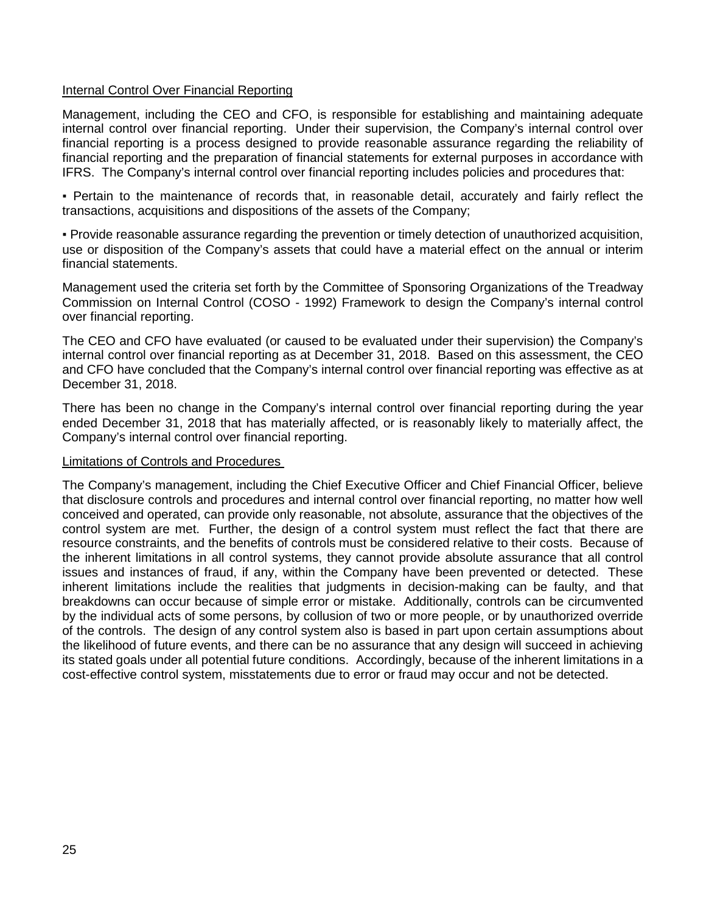## Internal Control Over Financial Reporting

Management, including the CEO and CFO, is responsible for establishing and maintaining adequate internal control over financial reporting. Under their supervision, the Company's internal control over financial reporting is a process designed to provide reasonable assurance regarding the reliability of financial reporting and the preparation of financial statements for external purposes in accordance with IFRS. The Company's internal control over financial reporting includes policies and procedures that:

▪ Pertain to the maintenance of records that, in reasonable detail, accurately and fairly reflect the transactions, acquisitions and dispositions of the assets of the Company;

▪ Provide reasonable assurance regarding the prevention or timely detection of unauthorized acquisition, use or disposition of the Company's assets that could have a material effect on the annual or interim financial statements.

Management used the criteria set forth by the Committee of Sponsoring Organizations of the Treadway Commission on Internal Control (COSO - 1992) Framework to design the Company's internal control over financial reporting.

The CEO and CFO have evaluated (or caused to be evaluated under their supervision) the Company's internal control over financial reporting as at December 31, 2018. Based on this assessment, the CEO and CFO have concluded that the Company's internal control over financial reporting was effective as at December 31, 2018.

There has been no change in the Company's internal control over financial reporting during the year ended December 31, 2018 that has materially affected, or is reasonably likely to materially affect, the Company's internal control over financial reporting.

#### Limitations of Controls and Procedures

The Company's management, including the Chief Executive Officer and Chief Financial Officer, believe that disclosure controls and procedures and internal control over financial reporting, no matter how well conceived and operated, can provide only reasonable, not absolute, assurance that the objectives of the control system are met. Further, the design of a control system must reflect the fact that there are resource constraints, and the benefits of controls must be considered relative to their costs. Because of the inherent limitations in all control systems, they cannot provide absolute assurance that all control issues and instances of fraud, if any, within the Company have been prevented or detected. These inherent limitations include the realities that judgments in decision-making can be faulty, and that breakdowns can occur because of simple error or mistake. Additionally, controls can be circumvented by the individual acts of some persons, by collusion of two or more people, or by unauthorized override of the controls. The design of any control system also is based in part upon certain assumptions about the likelihood of future events, and there can be no assurance that any design will succeed in achieving its stated goals under all potential future conditions. Accordingly, because of the inherent limitations in a cost-effective control system, misstatements due to error or fraud may occur and not be detected.